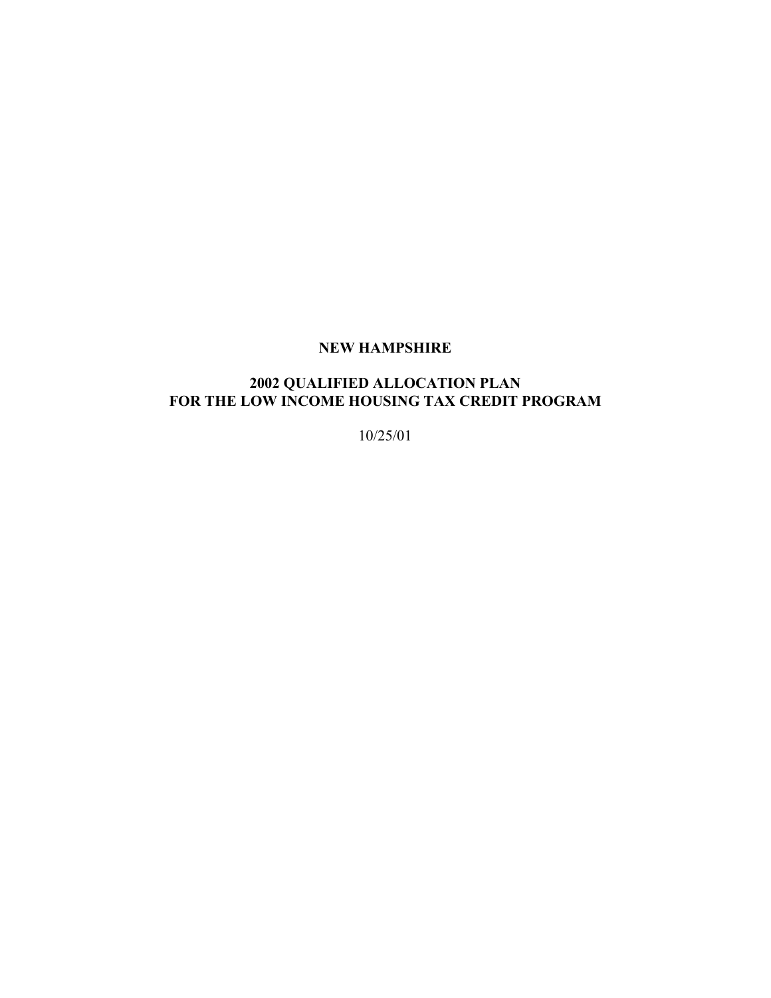# **NEW HAMPSHIRE**

# **2002 QUALIFIED ALLOCATION PLAN**  FOR THE LOW INCOME HOUSING TAX CREDIT PROGRAM

10/25/01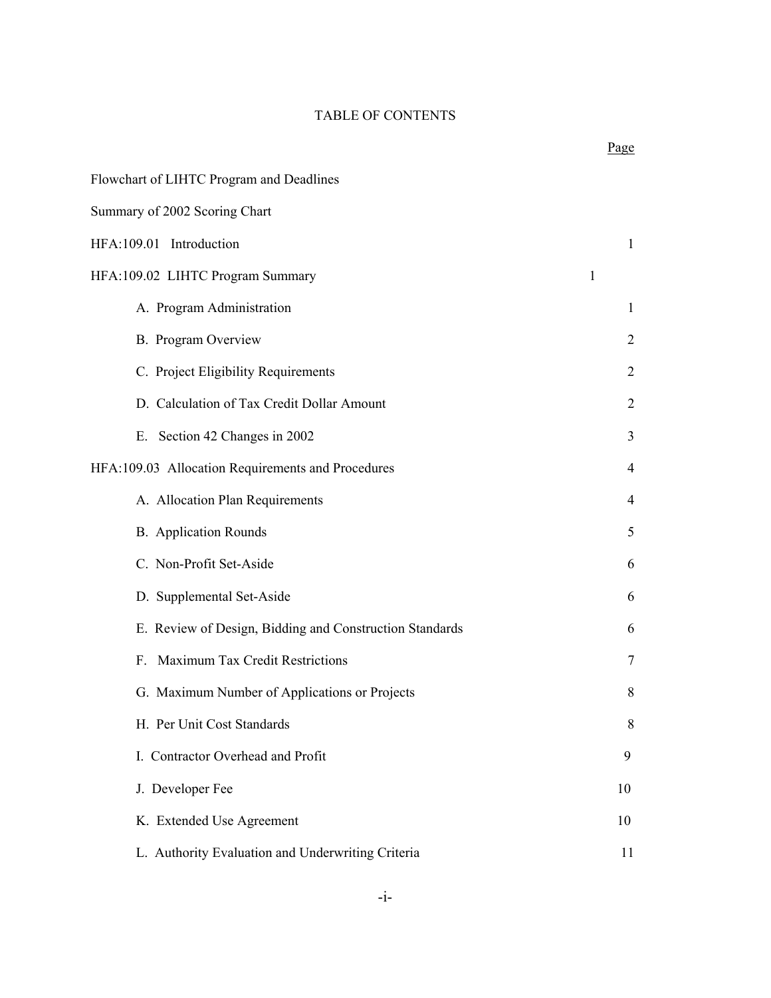#### TABLE OF CONTENTS

|                                                         | $\frac{1}{2}$ usv |
|---------------------------------------------------------|-------------------|
| Flowchart of LIHTC Program and Deadlines                |                   |
| Summary of 2002 Scoring Chart                           |                   |
| HFA:109.01 Introduction                                 | 1                 |
| HFA:109.02 LIHTC Program Summary                        | 1                 |
| A. Program Administration                               | $\mathbf{1}$      |
| B. Program Overview                                     | $\overline{2}$    |
| C. Project Eligibility Requirements                     | 2                 |
| D. Calculation of Tax Credit Dollar Amount              | $\overline{2}$    |
| E. Section 42 Changes in 2002                           | 3                 |
| HFA:109.03 Allocation Requirements and Procedures       | $\overline{4}$    |
| A. Allocation Plan Requirements                         | $\overline{4}$    |
| <b>B.</b> Application Rounds                            | 5                 |
| C. Non-Profit Set-Aside                                 | 6                 |
| D. Supplemental Set-Aside                               | 6                 |
| E. Review of Design, Bidding and Construction Standards | 6                 |
| F. Maximum Tax Credit Restrictions                      | 7                 |
| G. Maximum Number of Applications or Projects           | 8                 |
| H. Per Unit Cost Standards                              | 8                 |
| I. Contractor Overhead and Profit                       | 9                 |
| J. Developer Fee                                        | 10                |
| K. Extended Use Agreement                               | 10                |
| L. Authority Evaluation and Underwriting Criteria       | 11                |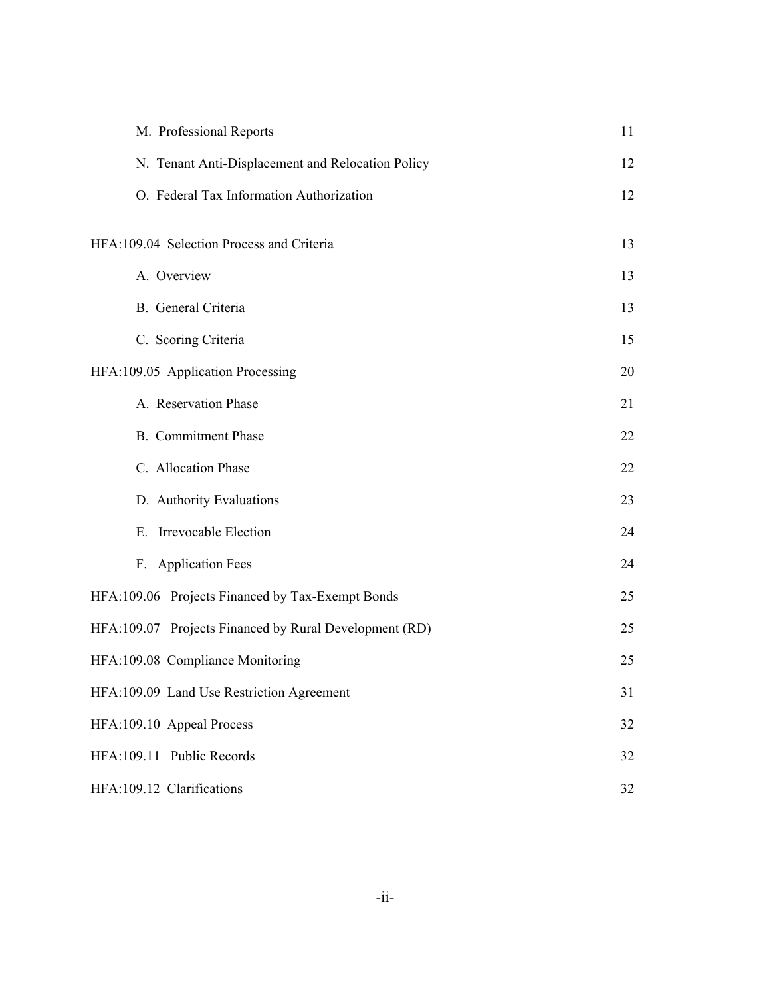| M. Professional Reports                                | 11 |
|--------------------------------------------------------|----|
| N. Tenant Anti-Displacement and Relocation Policy      | 12 |
| O. Federal Tax Information Authorization               | 12 |
| HFA:109.04 Selection Process and Criteria              | 13 |
|                                                        |    |
| A. Overview                                            | 13 |
| B. General Criteria                                    | 13 |
| C. Scoring Criteria                                    | 15 |
| HFA:109.05 Application Processing                      | 20 |
| A. Reservation Phase                                   | 21 |
| <b>B.</b> Commitment Phase                             | 22 |
| C. Allocation Phase                                    | 22 |
| D. Authority Evaluations                               | 23 |
| Irrevocable Election<br>Е.                             | 24 |
| F. Application Fees                                    | 24 |
| HFA:109.06 Projects Financed by Tax-Exempt Bonds       | 25 |
| HFA:109.07 Projects Financed by Rural Development (RD) | 25 |
| HFA:109.08 Compliance Monitoring                       | 25 |
| HFA:109.09 Land Use Restriction Agreement              | 31 |
| HFA:109.10 Appeal Process                              | 32 |
| HFA:109.11 Public Records                              | 32 |
| HFA:109.12 Clarifications                              | 32 |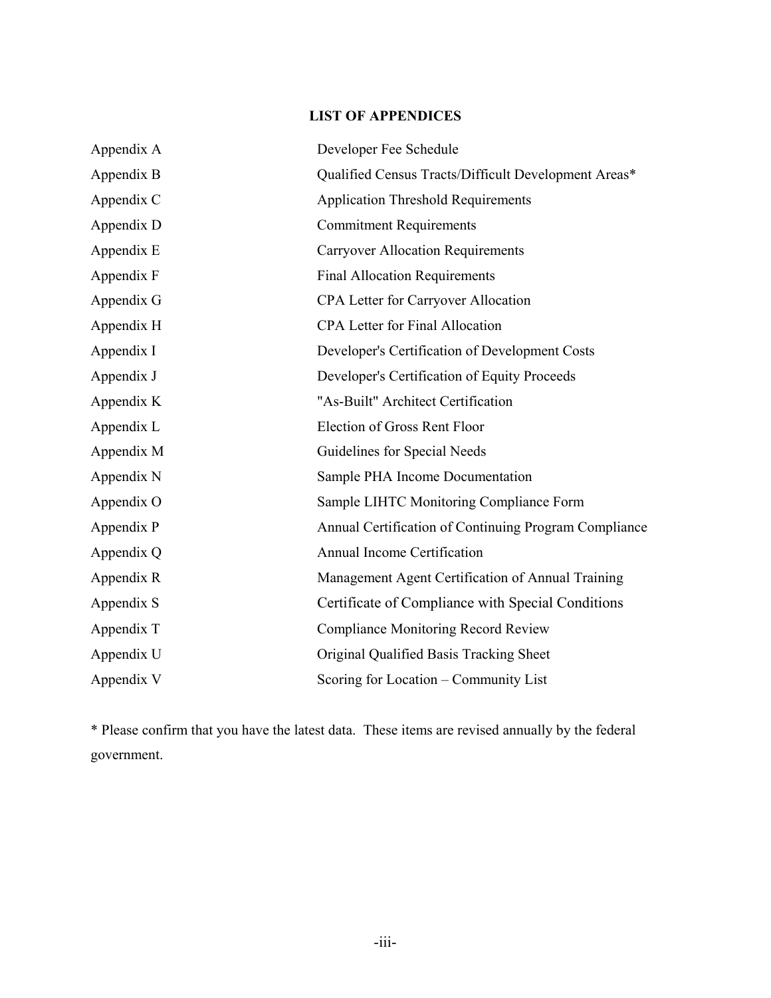# **LIST OF APPENDICES**

| Appendix A | Developer Fee Schedule                                |
|------------|-------------------------------------------------------|
| Appendix B | Qualified Census Tracts/Difficult Development Areas*  |
| Appendix C | <b>Application Threshold Requirements</b>             |
| Appendix D | <b>Commitment Requirements</b>                        |
| Appendix E | <b>Carryover Allocation Requirements</b>              |
| Appendix F | <b>Final Allocation Requirements</b>                  |
| Appendix G | CPA Letter for Carryover Allocation                   |
| Appendix H | <b>CPA Letter for Final Allocation</b>                |
| Appendix I | Developer's Certification of Development Costs        |
| Appendix J | Developer's Certification of Equity Proceeds          |
| Appendix K | "As-Built" Architect Certification                    |
| Appendix L | Election of Gross Rent Floor                          |
| Appendix M | Guidelines for Special Needs                          |
| Appendix N | Sample PHA Income Documentation                       |
| Appendix O | Sample LIHTC Monitoring Compliance Form               |
| Appendix P | Annual Certification of Continuing Program Compliance |
| Appendix Q | Annual Income Certification                           |
| Appendix R | Management Agent Certification of Annual Training     |
| Appendix S | Certificate of Compliance with Special Conditions     |
| Appendix T | <b>Compliance Monitoring Record Review</b>            |
| Appendix U | Original Qualified Basis Tracking Sheet               |
| Appendix V | Scoring for Location – Community List                 |

\* Please confirm that you have the latest data. These items are revised annually by the federal government.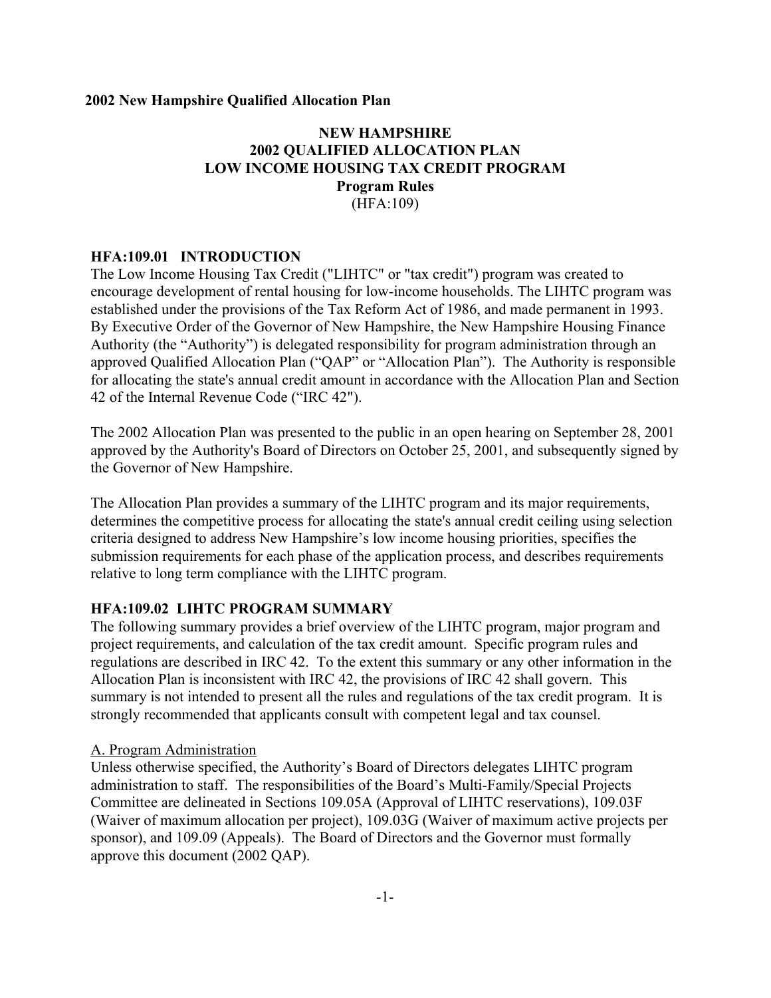## **NEW HAMPSHIRE 2002 QUALIFIED ALLOCATION PLAN LOW INCOME HOUSING TAX CREDIT PROGRAM Program Rules** (HFA:109)

#### **HFA:109.01 INTRODUCTION**

The Low Income Housing Tax Credit ("LIHTC" or "tax credit") program was created to encourage development of rental housing for low-income households. The LIHTC program was established under the provisions of the Tax Reform Act of 1986, and made permanent in 1993. By Executive Order of the Governor of New Hampshire, the New Hampshire Housing Finance Authority (the "Authority") is delegated responsibility for program administration through an approved Qualified Allocation Plan ("QAP" or "Allocation Plan"). The Authority is responsible for allocating the state's annual credit amount in accordance with the Allocation Plan and Section 42 of the Internal Revenue Code ("IRC 42").

The 2002 Allocation Plan was presented to the public in an open hearing on September 28, 2001 approved by the Authority's Board of Directors on October 25, 2001, and subsequently signed by the Governor of New Hampshire.

The Allocation Plan provides a summary of the LIHTC program and its major requirements, determines the competitive process for allocating the state's annual credit ceiling using selection criteria designed to address New Hampshire's low income housing priorities, specifies the submission requirements for each phase of the application process, and describes requirements relative to long term compliance with the LIHTC program.

#### **HFA:109.02 LIHTC PROGRAM SUMMARY**

The following summary provides a brief overview of the LIHTC program, major program and project requirements, and calculation of the tax credit amount. Specific program rules and regulations are described in IRC 42. To the extent this summary or any other information in the Allocation Plan is inconsistent with IRC 42, the provisions of IRC 42 shall govern. This summary is not intended to present all the rules and regulations of the tax credit program. It is strongly recommended that applicants consult with competent legal and tax counsel.

#### A. Program Administration

Unless otherwise specified, the Authority's Board of Directors delegates LIHTC program administration to staff. The responsibilities of the Board's Multi-Family/Special Projects Committee are delineated in Sections 109.05A (Approval of LIHTC reservations), 109.03F (Waiver of maximum allocation per project), 109.03G (Waiver of maximum active projects per sponsor), and 109.09 (Appeals). The Board of Directors and the Governor must formally approve this document (2002 QAP).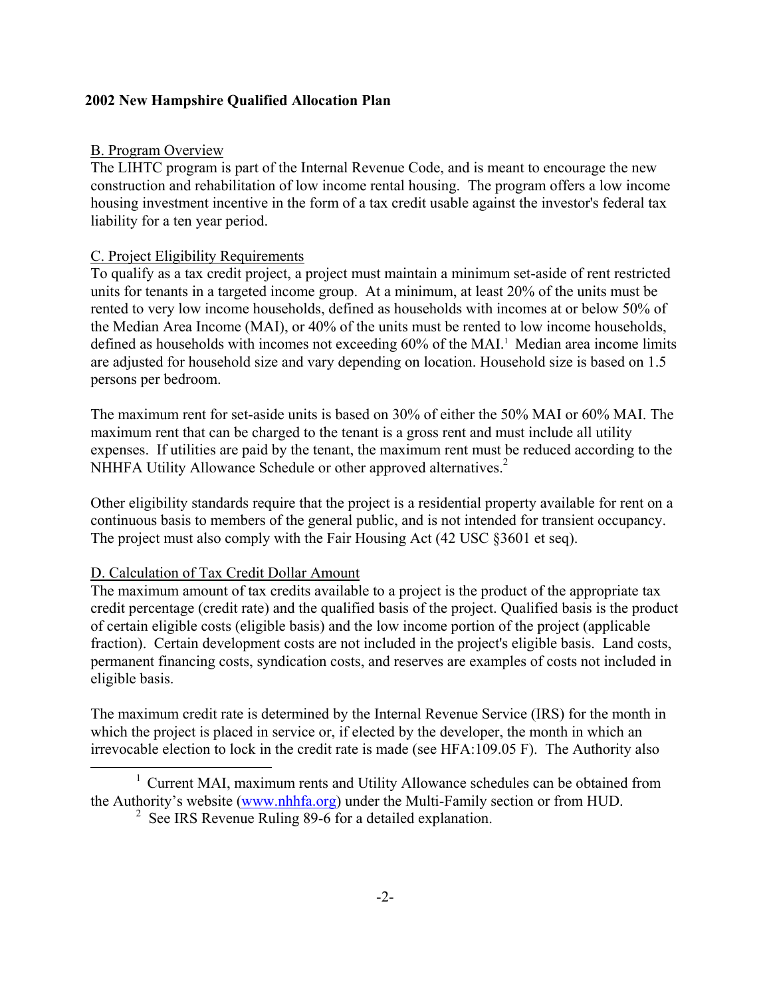## B. Program Overview

The LIHTC program is part of the Internal Revenue Code, and is meant to encourage the new construction and rehabilitation of low income rental housing. The program offers a low income housing investment incentive in the form of a tax credit usable against the investor's federal tax liability for a ten year period.

## C. Project Eligibility Requirements

To qualify as a tax credit project, a project must maintain a minimum set-aside of rent restricted units for tenants in a targeted income group. At a minimum, at least 20% of the units must be rented to very low income households, defined as households with incomes at or below 50% of the Median Area Income (MAI), or 40% of the units must be rented to low income households, defined as households with incomes not exceeding 60% of the MAI.<sup>1</sup> Median area income limits are adjusted for household size and vary depending on location. Household size is based on 1.5 persons per bedroom.

The maximum rent for set-aside units is based on 30% of either the 50% MAI or 60% MAI. The maximum rent that can be charged to the tenant is a gross rent and must include all utility expenses. If utilities are paid by the tenant, the maximum rent must be reduced according to the NHHFA Utility Allowance Schedule or other approved alternatives.<sup>[2](#page-7-1)</sup>

Other eligibility standards require that the project is a residential property available for rent on a continuous basis to members of the general public, and is not intended for transient occupancy. The project must also comply with the Fair Housing Act (42 USC §3601 et seq).

#### D. Calculation of Tax Credit Dollar Amount

j.

The maximum amount of tax credits available to a project is the product of the appropriate tax credit percentage (credit rate) and the qualified basis of the project. Qualified basis is the product of certain eligible costs (eligible basis) and the low income portion of the project (applicable fraction). Certain development costs are not included in the project's eligible basis. Land costs, permanent financing costs, syndication costs, and reserves are examples of costs not included in eligible basis.

The maximum credit rate is determined by the Internal Revenue Service (IRS) for the month in which the project is placed in service or, if elected by the developer, the month in which an irrevocable election to lock in the credit rate is made (see HFA:109.05 F). The Authority also

<sup>&</sup>lt;sup>1</sup> Current MAI, maximum rents and Utility Allowance schedules can be obtained from the Authority's website ([www.nhhfa.org](http://www.nhhfa.org/)) under the Multi-Family section or from HUD.

<span id="page-7-1"></span><span id="page-7-0"></span><sup>&</sup>lt;sup>2</sup> See IRS Revenue Ruling 89-6 for a detailed explanation.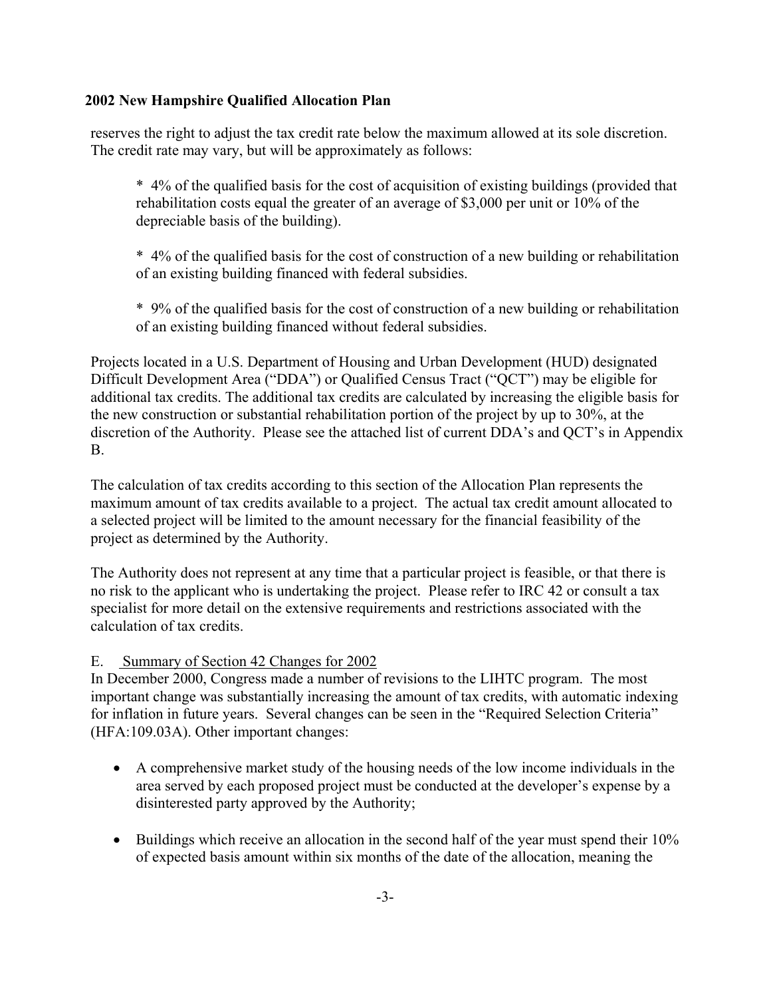reserves the right to adjust the tax credit rate below the maximum allowed at its sole discretion. The credit rate may vary, but will be approximately as follows:

\* 4% of the qualified basis for the cost of acquisition of existing buildings (provided that rehabilitation costs equal the greater of an average of \$3,000 per unit or 10% of the depreciable basis of the building).

\* 4% of the qualified basis for the cost of construction of a new building or rehabilitation of an existing building financed with federal subsidies.

\* 9% of the qualified basis for the cost of construction of a new building or rehabilitation of an existing building financed without federal subsidies.

Projects located in a U.S. Department of Housing and Urban Development (HUD) designated Difficult Development Area ("DDA") or Qualified Census Tract ("QCT") may be eligible for additional tax credits. The additional tax credits are calculated by increasing the eligible basis for the new construction or substantial rehabilitation portion of the project by up to 30%, at the discretion of the Authority. Please see the attached list of current DDA's and QCT's in Appendix B.

The calculation of tax credits according to this section of the Allocation Plan represents the maximum amount of tax credits available to a project. The actual tax credit amount allocated to a selected project will be limited to the amount necessary for the financial feasibility of the project as determined by the Authority.

The Authority does not represent at any time that a particular project is feasible, or that there is no risk to the applicant who is undertaking the project. Please refer to IRC 42 or consult a tax specialist for more detail on the extensive requirements and restrictions associated with the calculation of tax credits.

## E. Summary of Section 42 Changes for 2002

In December 2000, Congress made a number of revisions to the LIHTC program. The most important change was substantially increasing the amount of tax credits, with automatic indexing for inflation in future years. Several changes can be seen in the "Required Selection Criteria" (HFA:109.03A). Other important changes:

- A comprehensive market study of the housing needs of the low income individuals in the area served by each proposed project must be conducted at the developer's expense by a disinterested party approved by the Authority;
- Buildings which receive an allocation in the second half of the year must spend their 10% of expected basis amount within six months of the date of the allocation, meaning the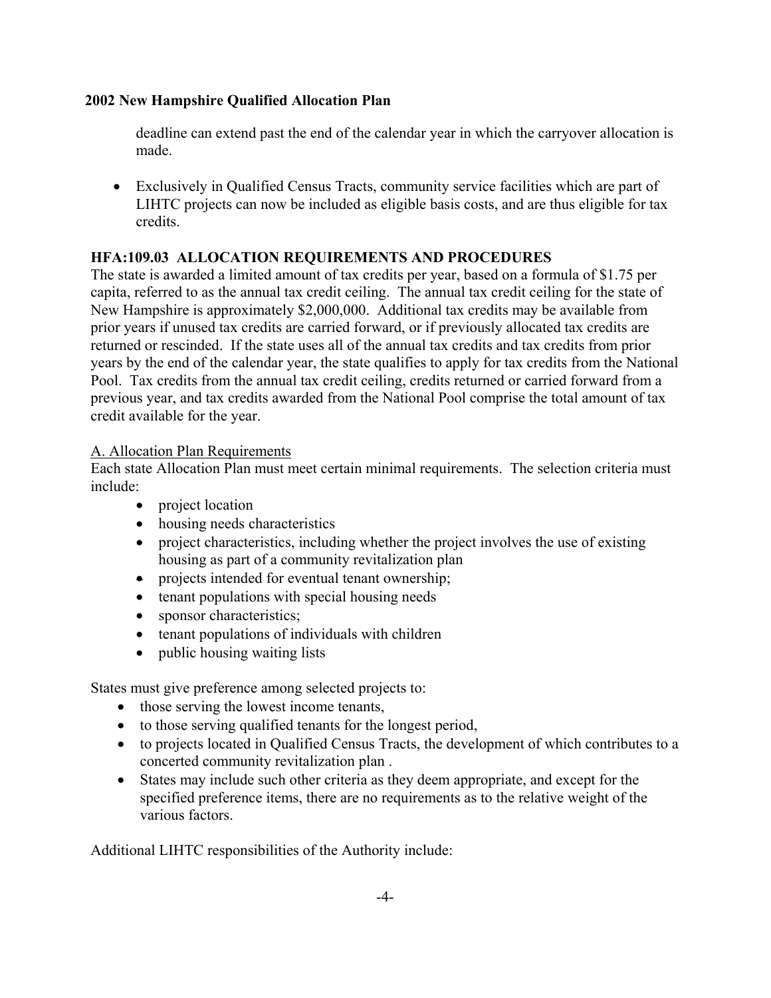deadline can extend past the end of the calendar year in which the carryover allocation is made.

• Exclusively in Qualified Census Tracts, community service facilities which are part of LIHTC projects can now be included as eligible basis costs, and are thus eligible for tax credits.

## **HFA:109.03 ALLOCATION REQUIREMENTS AND PROCEDURES**

The state is awarded a limited amount of tax credits per year, based on a formula of \$1.75 per capita, referred to as the annual tax credit ceiling. The annual tax credit ceiling for the state of New Hampshire is approximately \$2,000,000. Additional tax credits may be available from prior years if unused tax credits are carried forward, or if previously allocated tax credits are returned or rescinded. If the state uses all of the annual tax credits and tax credits from prior years by the end of the calendar year, the state qualifies to apply for tax credits from the National Pool. Tax credits from the annual tax credit ceiling, credits returned or carried forward from a previous year, and tax credits awarded from the National Pool comprise the total amount of tax credit available for the year.

## A. Allocation Plan Requirements

Each state Allocation Plan must meet certain minimal requirements. The selection criteria must include:

- project location
- housing needs characteristics
- project characteristics, including whether the project involves the use of existing housing as part of a community revitalization plan
- projects intended for eventual tenant ownership;
- tenant populations with special housing needs
- sponsor characteristics;
- tenant populations of individuals with children
- public housing waiting lists

States must give preference among selected projects to:

- those serving the lowest income tenants,
- to those serving qualified tenants for the longest period,
- to projects located in Qualified Census Tracts, the development of which contributes to a concerted community revitalization plan .
- States may include such other criteria as they deem appropriate, and except for the specified preference items, there are no requirements as to the relative weight of the various factors.

Additional LIHTC responsibilities of the Authority include: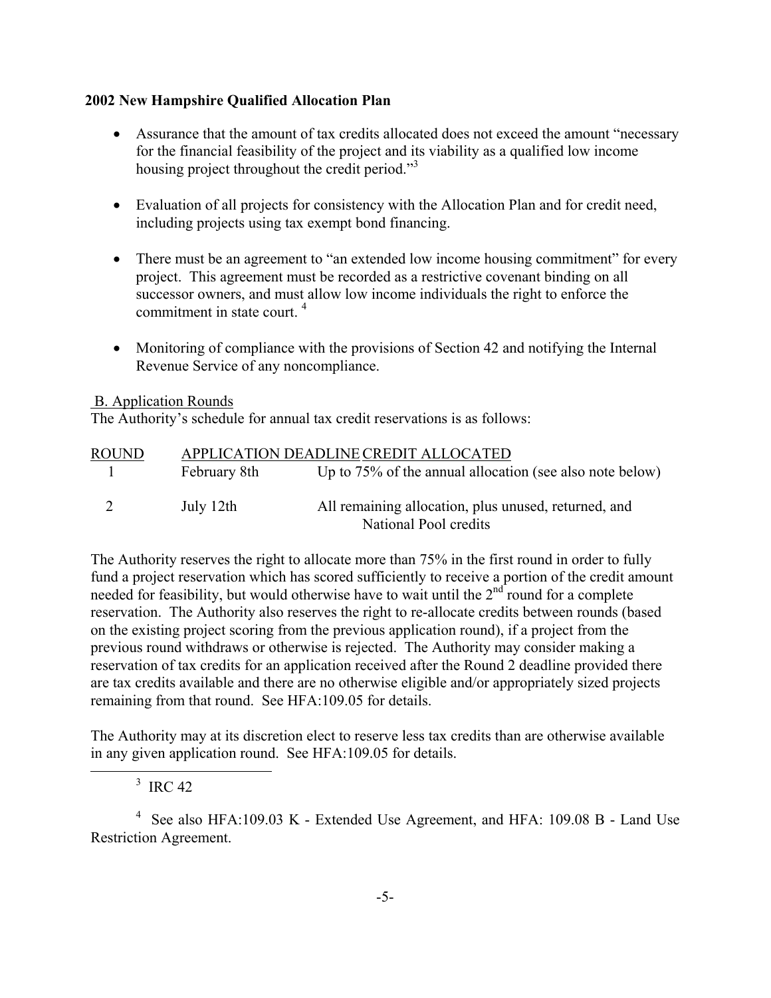- Assurance that the amount of tax credits allocated does not exceed the amount "necessary" for the financial feasibility of the project and its viability as a qualified low income housing project throughout the credit period. $3<sup>3</sup>$
- Evaluation of all projects for consistency with the Allocation Plan and for credit need, including projects using tax exempt bond financing.
- There must be an agreement to "an extended low income housing commitment" for every project. This agreement must be recorded as a restrictive covenant binding on all successor owners, and must allow low income individuals the right to enforce the commitment in state court. [4](#page-10-1)
- Monitoring of compliance with the provisions of Section 42 and notifying the Internal Revenue Service of any noncompliance.

#### B. Application Rounds

The Authority's schedule for annual tax credit reservations is as follows:

| <b>ROUND</b> |              | APPLICATION DEADLINE CREDIT ALLOCATED                    |
|--------------|--------------|----------------------------------------------------------|
| $\perp$      | February 8th | Up to 75% of the annual allocation (see also note below) |
| 2            | July 12th    | All remaining allocation, plus unused, returned, and     |
|              |              | National Pool credits                                    |

The Authority reserves the right to allocate more than 75% in the first round in order to fully fund a project reservation which has scored sufficiently to receive a portion of the credit amount needed for feasibility, but would otherwise have to wait until the  $2<sup>nd</sup>$  round for a complete reservation. The Authority also reserves the right to re-allocate credits between rounds (based on the existing project scoring from the previous application round), if a project from the previous round withdraws or otherwise is rejected. The Authority may consider making a reservation of tax credits for an application received after the Round 2 deadline provided there are tax credits available and there are no otherwise eligible and/or appropriately sized projects remaining from that round. See HFA:109.05 for details.

The Authority may at its discretion elect to reserve less tax credits than are otherwise available in any given application round. See HFA:109.05 for details.

<span id="page-10-1"></span><span id="page-10-0"></span> $3 \text{ IRC } 42$ 

j.

4 See also HFA:109.03 K - Extended Use Agreement, and HFA: 109.08 B - Land Use Restriction Agreement.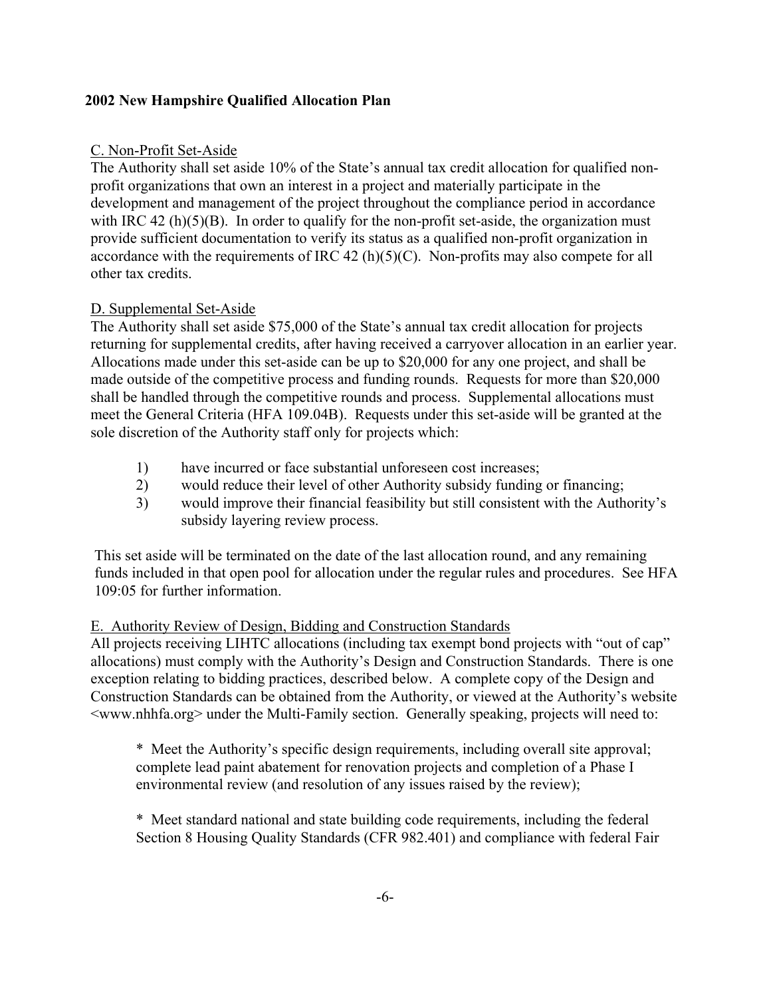## C. Non-Profit Set-Aside

The Authority shall set aside 10% of the State's annual tax credit allocation for qualified nonprofit organizations that own an interest in a project and materially participate in the development and management of the project throughout the compliance period in accordance with IRC 42 (h) $(5)(B)$ . In order to qualify for the non-profit set-aside, the organization must provide sufficient documentation to verify its status as a qualified non-profit organization in accordance with the requirements of IRC 42 (h)(5)(C). Non-profits may also compete for all other tax credits.

## D. Supplemental Set-Aside

The Authority shall set aside \$75,000 of the State's annual tax credit allocation for projects returning for supplemental credits, after having received a carryover allocation in an earlier year. Allocations made under this set-aside can be up to \$20,000 for any one project, and shall be made outside of the competitive process and funding rounds. Requests for more than \$20,000 shall be handled through the competitive rounds and process. Supplemental allocations must meet the General Criteria (HFA 109.04B). Requests under this set-aside will be granted at the sole discretion of the Authority staff only for projects which:

- 1) have incurred or face substantial unforeseen cost increases;
- 2) would reduce their level of other Authority subsidy funding or financing;
- 3) would improve their financial feasibility but still consistent with the Authority's subsidy layering review process.

This set aside will be terminated on the date of the last allocation round, and any remaining funds included in that open pool for allocation under the regular rules and procedures. See HFA 109:05 for further information.

#### E. Authority Review of Design, Bidding and Construction Standards

All projects receiving LIHTC allocations (including tax exempt bond projects with "out of cap" allocations) must comply with the Authority's Design and Construction Standards. There is one exception relating to bidding practices, described below. A complete copy of the Design and Construction Standards can be obtained from the Authority, or viewed at the Authority's website <www.nhhfa.org> under the Multi-Family section. Generally speaking, projects will need to:

\* Meet the Authority's specific design requirements, including overall site approval; complete lead paint abatement for renovation projects and completion of a Phase I environmental review (and resolution of any issues raised by the review);

\* Meet standard national and state building code requirements, including the federal Section 8 Housing Quality Standards (CFR 982.401) and compliance with federal Fair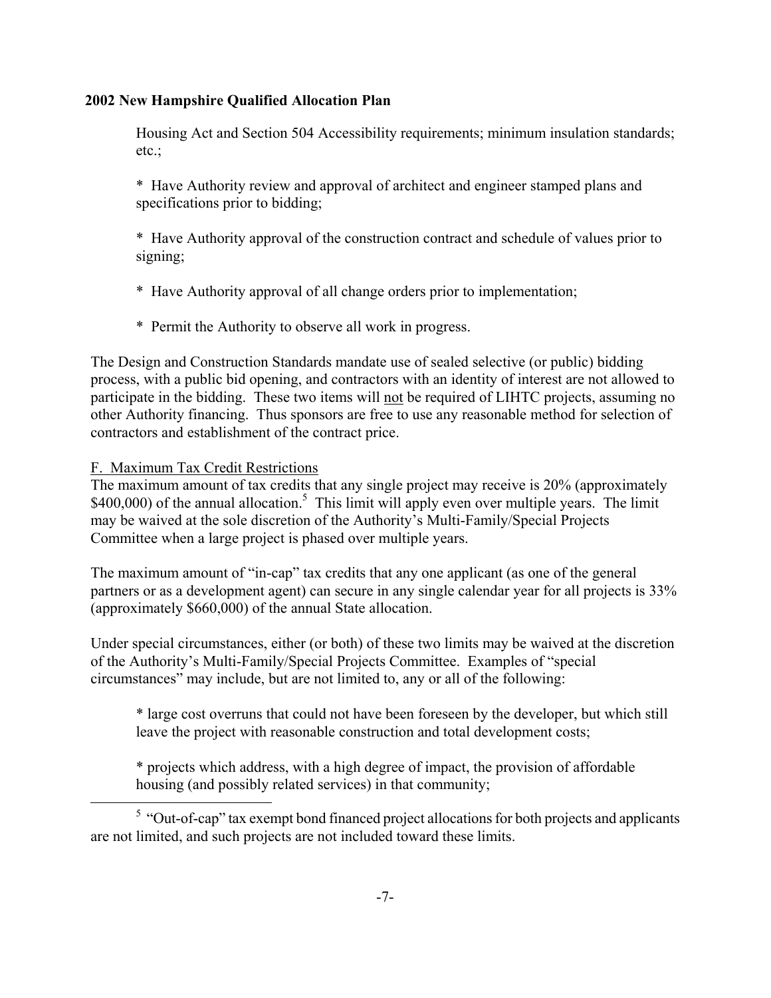Housing Act and Section 504 Accessibility requirements; minimum insulation standards; etc.;

\* Have Authority review and approval of architect and engineer stamped plans and specifications prior to bidding;

\* Have Authority approval of the construction contract and schedule of values prior to signing;

- \* Have Authority approval of all change orders prior to implementation;
- \* Permit the Authority to observe all work in progress.

The Design and Construction Standards mandate use of sealed selective (or public) bidding process, with a public bid opening, and contractors with an identity of interest are not allowed to participate in the bidding. These two items will not be required of LIHTC projects, assuming no other Authority financing. Thus sponsors are free to use any reasonable method for selection of contractors and establishment of the contract price.

# F. Maximum Tax Credit Restrictions

i.

The maximum amount of tax credits that any single project may receive is 20% (approximately \$400,000) of the annual allocation.<sup>5</sup> This limit will apply even over multiple years. The limit may be waived at the sole discretion of the Authority's Multi-Family/Special Projects Committee when a large project is phased over multiple years.

The maximum amount of "in-cap" tax credits that any one applicant (as one of the general partners or as a development agent) can secure in any single calendar year for all projects is 33% (approximately \$660,000) of the annual State allocation.

Under special circumstances, either (or both) of these two limits may be waived at the discretion of the Authority's Multi-Family/Special Projects Committee. Examples of "special circumstances" may include, but are not limited to, any or all of the following:

\* large cost overruns that could not have been foreseen by the developer, but which still leave the project with reasonable construction and total development costs;

<span id="page-12-0"></span>\* projects which address, with a high degree of impact, the provision of affordable housing (and possibly related services) in that community;

 $<sup>5</sup>$  "Out-of-cap" tax exempt bond financed project allocations for both projects and applicants</sup> are not limited, and such projects are not included toward these limits.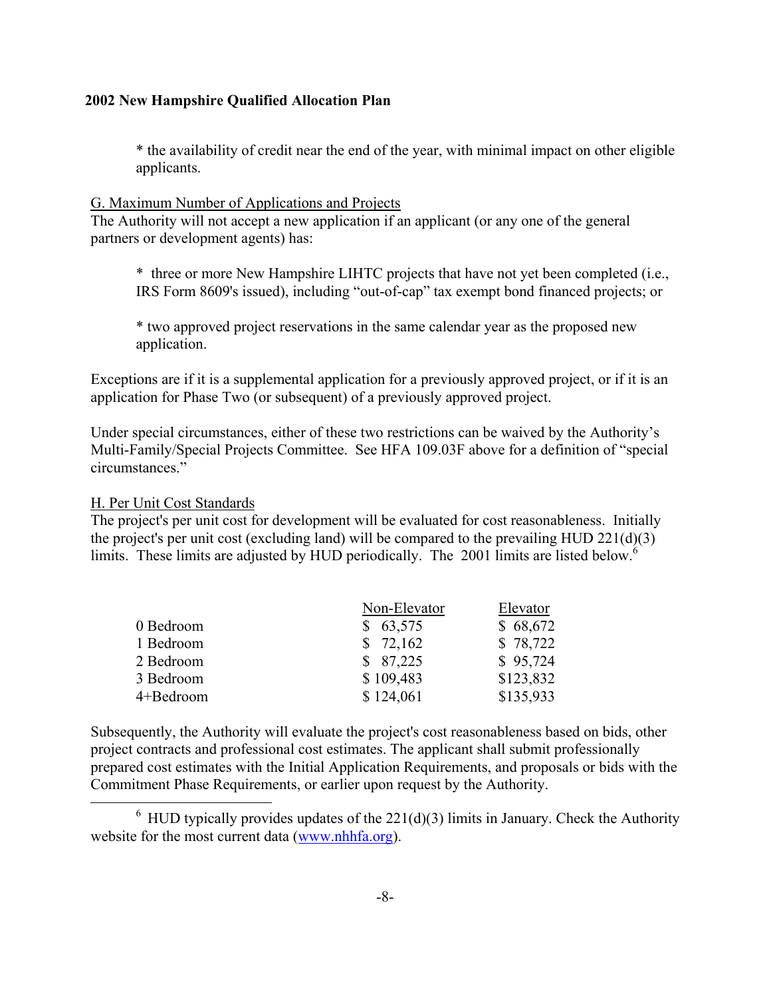\* the availability of credit near the end of the year, with minimal impact on other eligible applicants.

#### G. Maximum Number of Applications and Projects

The Authority will not accept a new application if an applicant (or any one of the general partners or development agents) has:

\* three or more New Hampshire LIHTC projects that have not yet been completed (i.e., IRS Form 8609's issued), including "out-of-cap" tax exempt bond financed projects; or

\* two approved project reservations in the same calendar year as the proposed new application.

Exceptions are if it is a supplemental application for a previously approved project, or if it is an application for Phase Two (or subsequent) of a previously approved project.

Under special circumstances, either of these two restrictions can be waived by the Authority's Multi-Family/Special Projects Committee. See HFA 109.03F above for a definition of "special circumstances."

#### H. Per Unit Cost Standards

<span id="page-13-0"></span>i.

The project's per unit cost for development will be evaluated for cost reasonableness. Initially the project's per unit cost (excluding land) will be compared to the prevailing HUD 221(d)(3) limits. These limits are adjusted by HUD periodically. The 2001 limits are listed below.<sup>[6](#page-13-0)</sup>

|           | Non-Elevator | Elevator  |
|-----------|--------------|-----------|
| 0 Bedroom | \$63,575     | \$68,672  |
| 1 Bedroom | \$72,162     | \$78,722  |
| 2 Bedroom | \$87,225     | \$95,724  |
| 3 Bedroom | \$109,483    | \$123,832 |
| 4+Bedroom | \$124,061    | \$135,933 |

Subsequently, the Authority will evaluate the project's cost reasonableness based on bids, other project contracts and professional cost estimates. The applicant shall submit professionally prepared cost estimates with the Initial Application Requirements, and proposals or bids with the Commitment Phase Requirements, or earlier upon request by the Authority.

 $6$  HUD typically provides updates of the 221(d)(3) limits in January. Check the Authority website for the most current data ([www.nhhfa.org](http://www.nhhfa.org/)).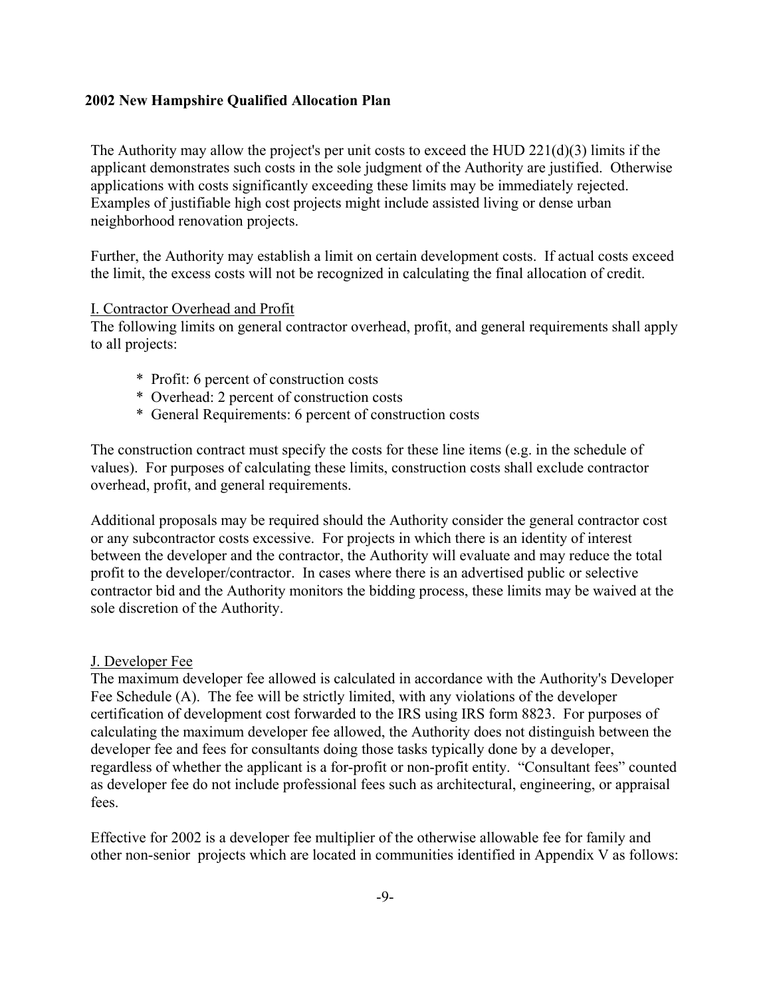The Authority may allow the project's per unit costs to exceed the HUD  $221(d)(3)$  limits if the applicant demonstrates such costs in the sole judgment of the Authority are justified. Otherwise applications with costs significantly exceeding these limits may be immediately rejected. Examples of justifiable high cost projects might include assisted living or dense urban neighborhood renovation projects.

Further, the Authority may establish a limit on certain development costs. If actual costs exceed the limit, the excess costs will not be recognized in calculating the final allocation of credit.

#### I. Contractor Overhead and Profit

The following limits on general contractor overhead, profit, and general requirements shall apply to all projects:

- \* Profit: 6 percent of construction costs
- \* Overhead: 2 percent of construction costs
- \* General Requirements: 6 percent of construction costs

The construction contract must specify the costs for these line items (e.g. in the schedule of values). For purposes of calculating these limits, construction costs shall exclude contractor overhead, profit, and general requirements.

Additional proposals may be required should the Authority consider the general contractor cost or any subcontractor costs excessive. For projects in which there is an identity of interest between the developer and the contractor, the Authority will evaluate and may reduce the total profit to the developer/contractor. In cases where there is an advertised public or selective contractor bid and the Authority monitors the bidding process, these limits may be waived at the sole discretion of the Authority.

#### J. Developer Fee

The maximum developer fee allowed is calculated in accordance with the Authority's Developer Fee Schedule (A). The fee will be strictly limited, with any violations of the developer certification of development cost forwarded to the IRS using IRS form 8823. For purposes of calculating the maximum developer fee allowed, the Authority does not distinguish between the developer fee and fees for consultants doing those tasks typically done by a developer, regardless of whether the applicant is a for-profit or non-profit entity. "Consultant fees" counted as developer fee do not include professional fees such as architectural, engineering, or appraisal fees.

Effective for 2002 is a developer fee multiplier of the otherwise allowable fee for family and other non-senior projects which are located in communities identified in Appendix V as follows: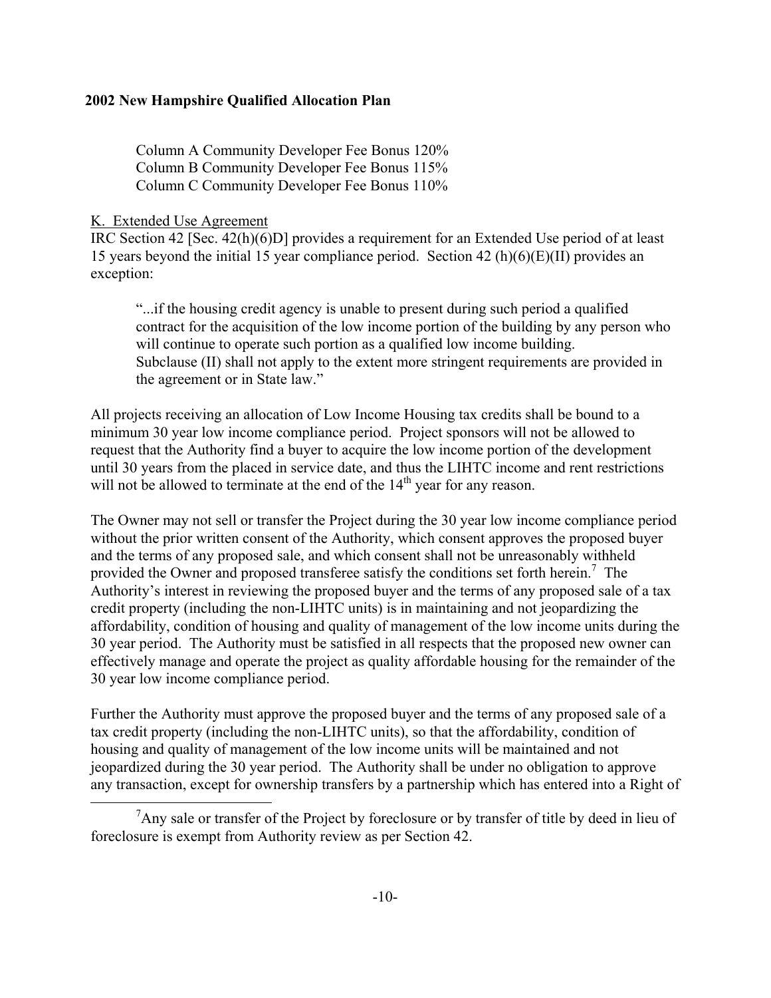Column A Community Developer Fee Bonus 120% Column B Community Developer Fee Bonus 115% Column C Community Developer Fee Bonus 110%

## K. Extended Use Agreement

<span id="page-15-0"></span>i.

IRC Section 42 [Sec. 42(h)(6)D] provides a requirement for an Extended Use period of at least 15 years beyond the initial 15 year compliance period. Section 42 (h)(6)(E)(II) provides an exception:

"...if the housing credit agency is unable to present during such period a qualified contract for the acquisition of the low income portion of the building by any person who will continue to operate such portion as a qualified low income building. Subclause (II) shall not apply to the extent more stringent requirements are provided in the agreement or in State law."

All projects receiving an allocation of Low Income Housing tax credits shall be bound to a minimum 30 year low income compliance period. Project sponsors will not be allowed to request that the Authority find a buyer to acquire the low income portion of the development until 30 years from the placed in service date, and thus the LIHTC income and rent restrictions will not be allowed to terminate at the end of the  $14<sup>th</sup>$  year for any reason.

The Owner may not sell or transfer the Project during the 30 year low income compliance period without the prior written consent of the Authority, which consent approves the proposed buyer and the terms of any proposed sale, and which consent shall not be unreasonably withheld provided the Owner and proposed transferee satisfy the conditions set forth herein.<sup>[7](#page-15-0)</sup> The Authority's interest in reviewing the proposed buyer and the terms of any proposed sale of a tax credit property (including the non-LIHTC units) is in maintaining and not jeopardizing the affordability, condition of housing and quality of management of the low income units during the 30 year period. The Authority must be satisfied in all respects that the proposed new owner can effectively manage and operate the project as quality affordable housing for the remainder of the 30 year low income compliance period.

Further the Authority must approve the proposed buyer and the terms of any proposed sale of a tax credit property (including the non-LIHTC units), so that the affordability, condition of housing and quality of management of the low income units will be maintained and not jeopardized during the 30 year period. The Authority shall be under no obligation to approve any transaction, except for ownership transfers by a partnership which has entered into a Right of

<sup>&</sup>lt;sup>7</sup>Any sale or transfer of the Project by foreclosure or by transfer of title by deed in lieu of foreclosure is exempt from Authority review as per Section 42.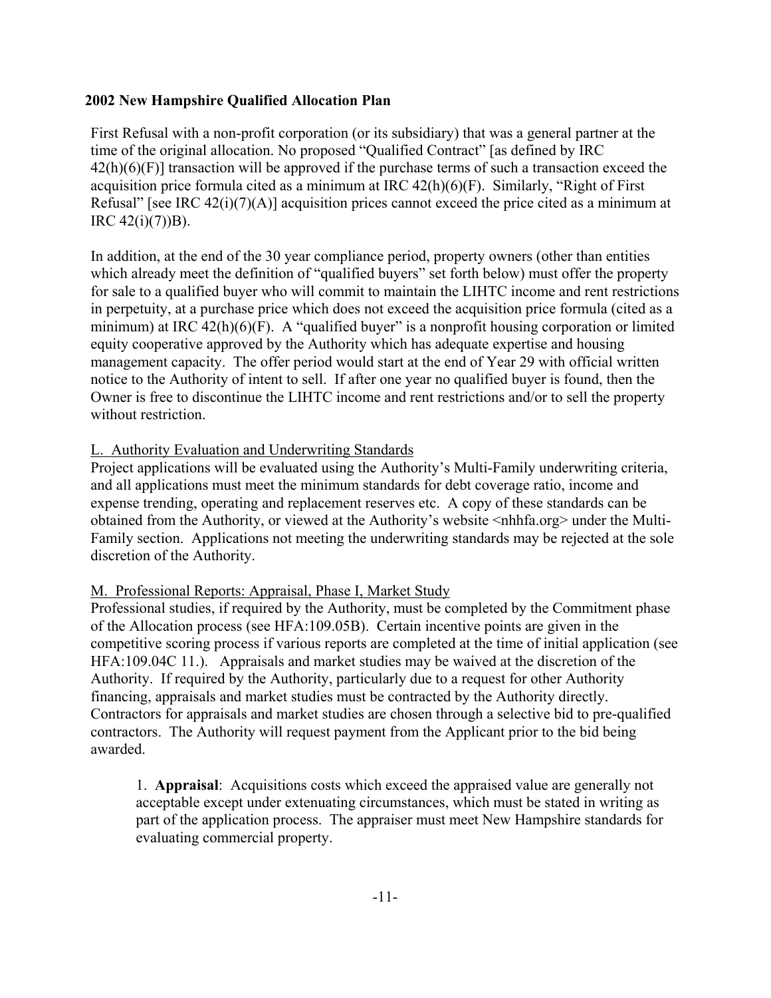First Refusal with a non-profit corporation (or its subsidiary) that was a general partner at the time of the original allocation. No proposed "Qualified Contract" [as defined by IRC  $42(h)(6)(F)$  transaction will be approved if the purchase terms of such a transaction exceed the acquisition price formula cited as a minimum at IRC 42(h)(6)(F). Similarly, "Right of First Refusal" [see IRC  $42(i)(7)(A)$ ] acquisition prices cannot exceed the price cited as a minimum at IRC  $42(i)(7)$ )B).

In addition, at the end of the 30 year compliance period, property owners (other than entities which already meet the definition of "qualified buyers" set forth below) must offer the property for sale to a qualified buyer who will commit to maintain the LIHTC income and rent restrictions in perpetuity, at a purchase price which does not exceed the acquisition price formula (cited as a minimum) at IRC  $42(h)(6)(F)$ . A "qualified buyer" is a nonprofit housing corporation or limited equity cooperative approved by the Authority which has adequate expertise and housing management capacity. The offer period would start at the end of Year 29 with official written notice to the Authority of intent to sell. If after one year no qualified buyer is found, then the Owner is free to discontinue the LIHTC income and rent restrictions and/or to sell the property without restriction.

## L. Authority Evaluation and Underwriting Standards

Project applications will be evaluated using the Authority's Multi-Family underwriting criteria, and all applications must meet the minimum standards for debt coverage ratio, income and expense trending, operating and replacement reserves etc. A copy of these standards can be obtained from the Authority, or viewed at the Authority's website <nhhfa.org> under the Multi-Family section. Applications not meeting the underwriting standards may be rejected at the sole discretion of the Authority.

## M. Professional Reports: Appraisal, Phase I, Market Study

Professional studies, if required by the Authority, must be completed by the Commitment phase of the Allocation process (see HFA:109.05B). Certain incentive points are given in the competitive scoring process if various reports are completed at the time of initial application (see HFA:109.04C 11.). Appraisals and market studies may be waived at the discretion of the Authority. If required by the Authority, particularly due to a request for other Authority financing, appraisals and market studies must be contracted by the Authority directly. Contractors for appraisals and market studies are chosen through a selective bid to pre-qualified contractors. The Authority will request payment from the Applicant prior to the bid being awarded.

1. **Appraisal**: Acquisitions costs which exceed the appraised value are generally not acceptable except under extenuating circumstances, which must be stated in writing as part of the application process. The appraiser must meet New Hampshire standards for evaluating commercial property.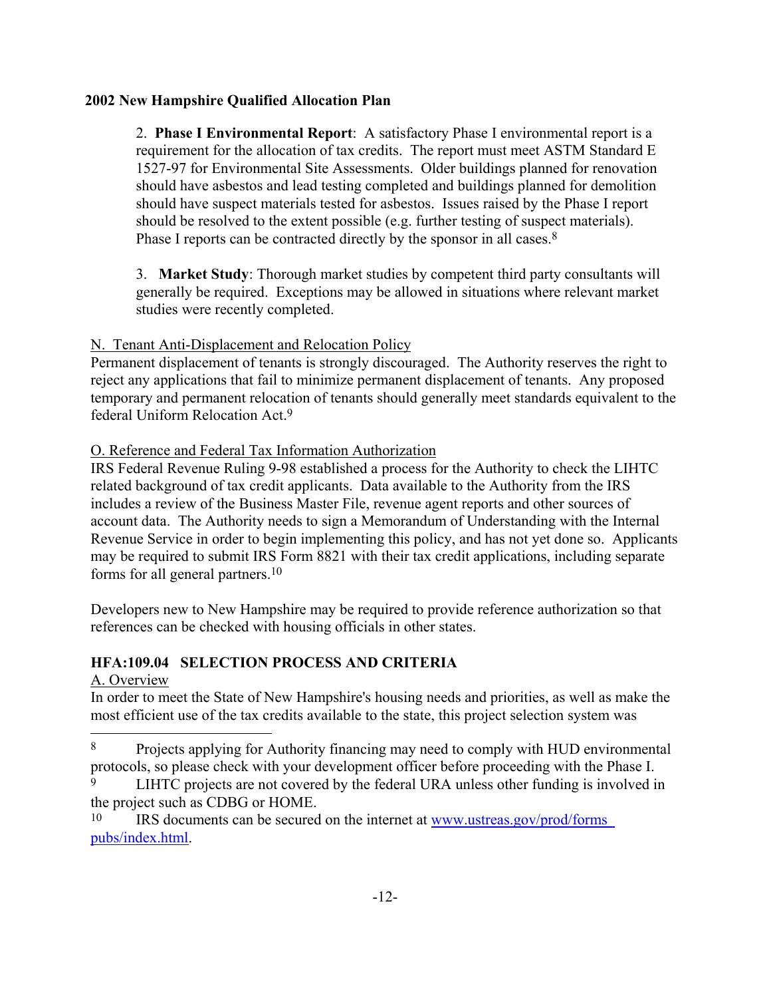2. **Phase I Environmental Report**: A satisfactory Phase I environmental report is a requirement for the allocation of tax credits. The report must meet ASTM Standard E 1527-97 for Environmental Site Assessments. Older buildings planned for renovation should have asbestos and lead testing completed and buildings planned for demolition should have suspect materials tested for asbestos. Issues raised by the Phase I report should be resolved to the extent possible (e.g. further testing of suspect materials). Phase I reports can be contracted directly by the sponsor in all cases.<sup>8</sup>

3. **Market Study**: Thorough market studies by competent third party consultants will generally be required. Exceptions may be allowed in situations where relevant market studies were recently completed.

## N. Tenant Anti-Displacement and Relocation Policy

Permanent displacement of tenants is strongly discouraged. The Authority reserves the right to reject any applications that fail to minimize permanent displacement of tenants. Any proposed temporary and permanent relocation of tenants should generally meet standards equivalent to the federal Uniform Relocation Act[.9](#page-17-1)

## O. Reference and Federal Tax Information Authorization

IRS Federal Revenue Ruling 9-98 established a process for the Authority to check the LIHTC related background of tax credit applicants. Data available to the Authority from the IRS includes a review of the Business Master File, revenue agent reports and other sources of account data. The Authority needs to sign a Memorandum of Understanding with the Internal Revenue Service in order to begin implementing this policy, and has not yet done so. Applicants may be required to submit IRS Form 8821 with their tax credit applications, including separate forms for all general partners[.10](#page-17-2) 

Developers new to New Hampshire may be required to provide reference authorization so that references can be checked with housing officials in other states.

## **HFA:109.04 SELECTION PROCESS AND CRITERIA**

## A. Overview

i.

In order to meet the State of New Hampshire's housing needs and priorities, as well as make the most efficient use of the tax credits available to the state, this project selection system was

<span id="page-17-0"></span><sup>8</sup> Projects applying for Authority financing may need to comply with HUD environmental protocols, so please check with your development officer before proceeding with the Phase I.

<span id="page-17-1"></span>LIHTC projects are not covered by the federal URA unless other funding is involved in the project such as CDBG or HOME.

<span id="page-17-2"></span><sup>10</sup> IRS documents can be secured on the internet at [www.ustreas.gov/prod/forms\\_](http://www.ustreas.gov/prod/forms_pubs/index.html)  [pubs/index.html.](http://www.ustreas.gov/prod/forms_pubs/index.html)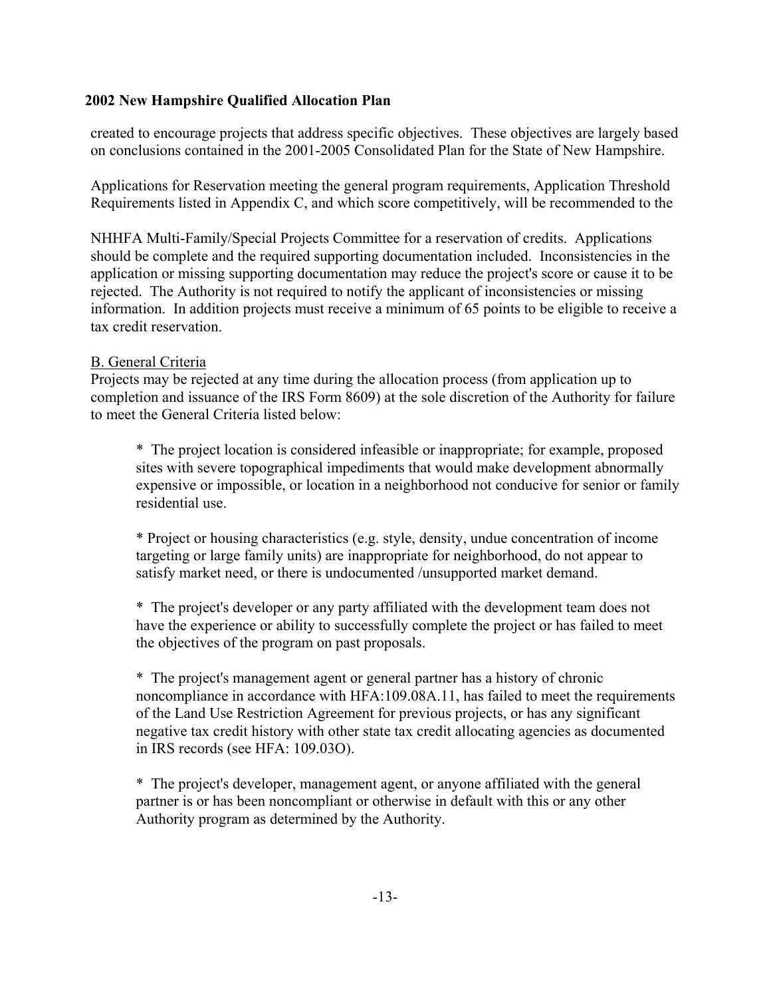created to encourage projects that address specific objectives. These objectives are largely based on conclusions contained in the 2001-2005 Consolidated Plan for the State of New Hampshire.

Applications for Reservation meeting the general program requirements, Application Threshold Requirements listed in Appendix C, and which score competitively, will be recommended to the

NHHFA Multi-Family/Special Projects Committee for a reservation of credits. Applications should be complete and the required supporting documentation included. Inconsistencies in the application or missing supporting documentation may reduce the project's score or cause it to be rejected. The Authority is not required to notify the applicant of inconsistencies or missing information. In addition projects must receive a minimum of 65 points to be eligible to receive a tax credit reservation.

## B. General Criteria

Projects may be rejected at any time during the allocation process (from application up to completion and issuance of the IRS Form 8609) at the sole discretion of the Authority for failure to meet the General Criteria listed below:

\* The project location is considered infeasible or inappropriate; for example, proposed sites with severe topographical impediments that would make development abnormally expensive or impossible, or location in a neighborhood not conducive for senior or family residential use.

\* Project or housing characteristics (e.g. style, density, undue concentration of income targeting or large family units) are inappropriate for neighborhood, do not appear to satisfy market need, or there is undocumented /unsupported market demand.

\* The project's developer or any party affiliated with the development team does not have the experience or ability to successfully complete the project or has failed to meet the objectives of the program on past proposals.

\* The project's management agent or general partner has a history of chronic noncompliance in accordance with HFA:109.08A.11, has failed to meet the requirements of the Land Use Restriction Agreement for previous projects, or has any significant negative tax credit history with other state tax credit allocating agencies as documented in IRS records (see HFA: 109.03O).

\* The project's developer, management agent, or anyone affiliated with the general partner is or has been noncompliant or otherwise in default with this or any other Authority program as determined by the Authority.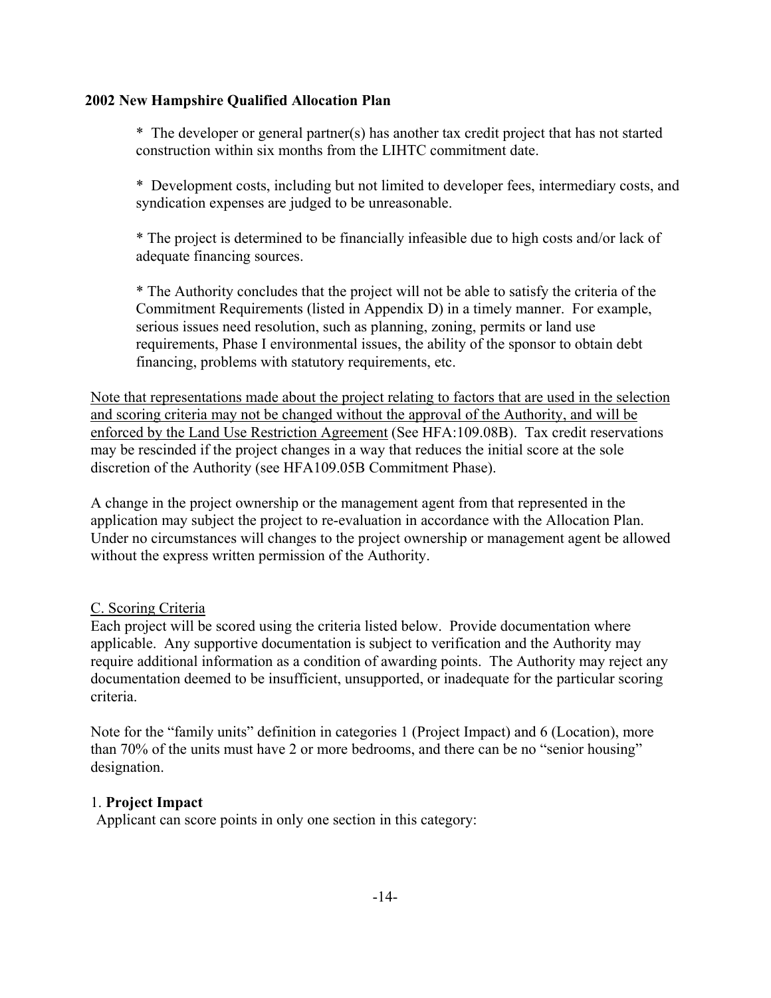\* The developer or general partner(s) has another tax credit project that has not started construction within six months from the LIHTC commitment date.

\* Development costs, including but not limited to developer fees, intermediary costs, and syndication expenses are judged to be unreasonable.

\* The project is determined to be financially infeasible due to high costs and/or lack of adequate financing sources.

\* The Authority concludes that the project will not be able to satisfy the criteria of the Commitment Requirements (listed in Appendix D) in a timely manner. For example, serious issues need resolution, such as planning, zoning, permits or land use requirements, Phase I environmental issues, the ability of the sponsor to obtain debt financing, problems with statutory requirements, etc.

Note that representations made about the project relating to factors that are used in the selection and scoring criteria may not be changed without the approval of the Authority, and will be enforced by the Land Use Restriction Agreement (See HFA:109.08B). Tax credit reservations may be rescinded if the project changes in a way that reduces the initial score at the sole discretion of the Authority (see HFA109.05B Commitment Phase).

A change in the project ownership or the management agent from that represented in the application may subject the project to re-evaluation in accordance with the Allocation Plan. Under no circumstances will changes to the project ownership or management agent be allowed without the express written permission of the Authority.

## C. Scoring Criteria

Each project will be scored using the criteria listed below. Provide documentation where applicable. Any supportive documentation is subject to verification and the Authority may require additional information as a condition of awarding points. The Authority may reject any documentation deemed to be insufficient, unsupported, or inadequate for the particular scoring criteria.

Note for the "family units" definition in categories 1 (Project Impact) and 6 (Location), more than 70% of the units must have 2 or more bedrooms, and there can be no "senior housing" designation.

## 1. **Project Impact**

Applicant can score points in only one section in this category: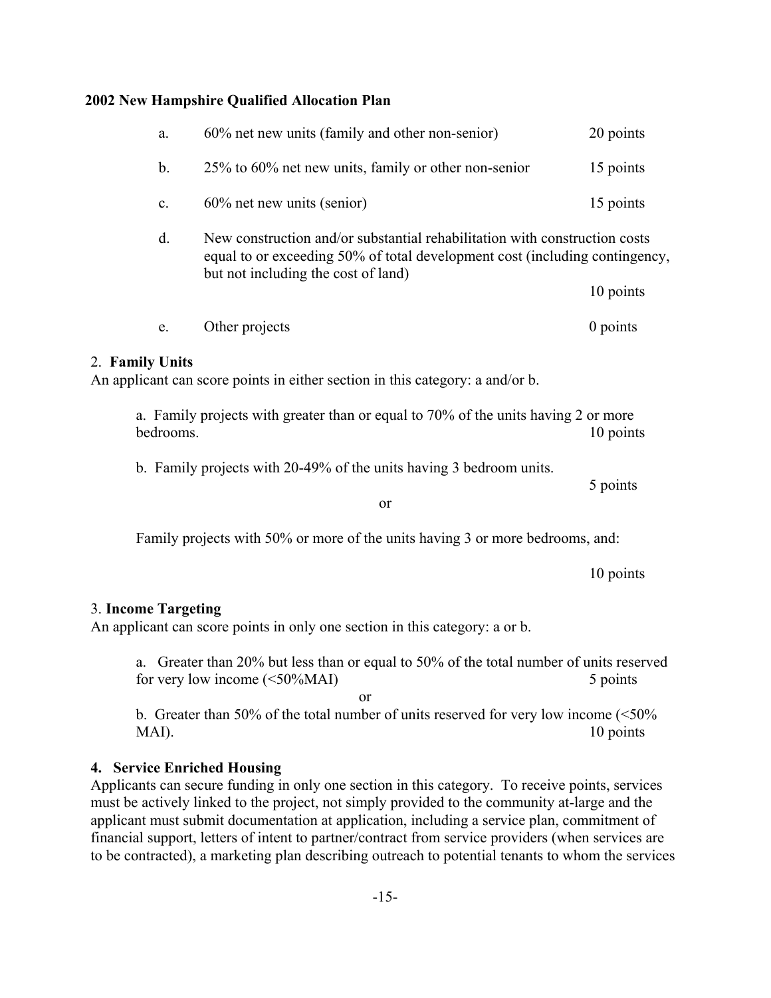| e.             | Other projects                                                                                                                                                                                   | 0 points  |
|----------------|--------------------------------------------------------------------------------------------------------------------------------------------------------------------------------------------------|-----------|
|                |                                                                                                                                                                                                  | 10 points |
| $d_{\cdot}$    | New construction and/or substantial rehabilitation with construction costs<br>equal to or exceeding 50% of total development cost (including contingency,<br>but not including the cost of land) |           |
| $\mathbf{c}$ . | $60\%$ net new units (senior)                                                                                                                                                                    | 15 points |
| b.             | 25% to 60% net new units, family or other non-senior                                                                                                                                             | 15 points |
| a.             | 60% net new units (family and other non-senior)                                                                                                                                                  | 20 points |

An applicant can score points in either section in this category: a and/or b.

a. Family projects with greater than or equal to 70% of the units having 2 or more bedrooms. 10 points

b. Family projects with 20-49% of the units having 3 bedroom units.

or

Family projects with 50% or more of the units having 3 or more bedrooms, and:

10 points

5 points

#### 3. **Income Targeting**

An applicant can score points in only one section in this category: a or b.

a. Greater than 20% but less than or equal to 50% of the total number of units reserved for very low income (<50%MAI) 5 points

or

b. Greater than 50% of the total number of units reserved for very low income (<50% MAI). 10 points

#### **4. Service Enriched Housing**

Applicants can secure funding in only one section in this category. To receive points, services must be actively linked to the project, not simply provided to the community at-large and the applicant must submit documentation at application, including a service plan, commitment of financial support, letters of intent to partner/contract from service providers (when services are to be contracted), a marketing plan describing outreach to potential tenants to whom the services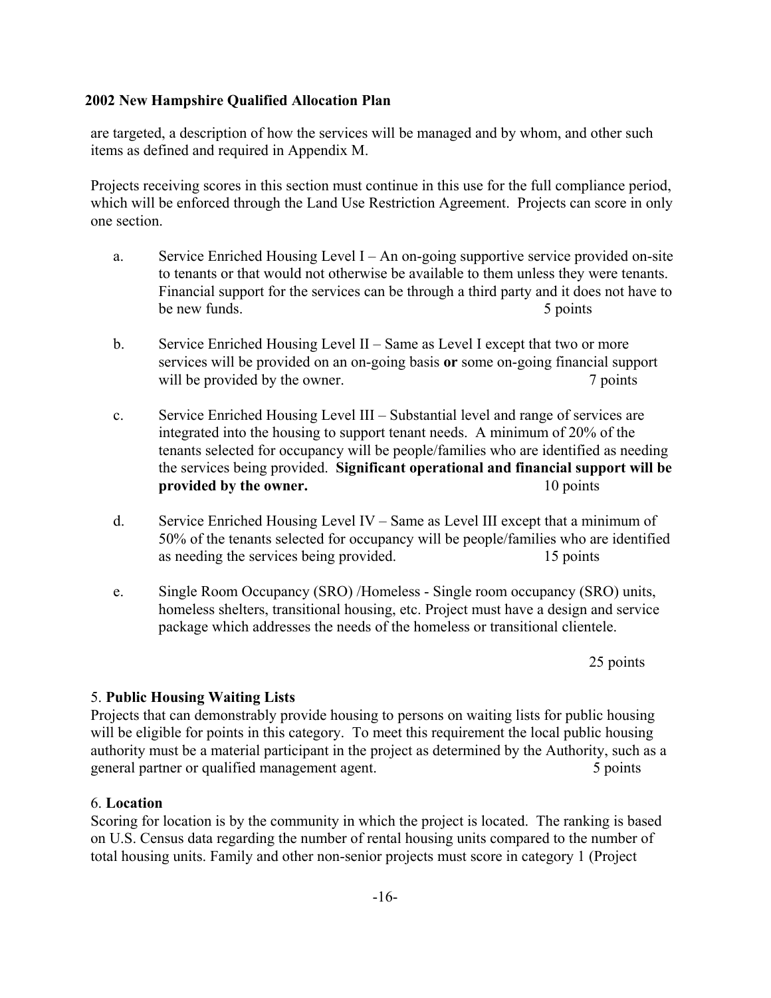are targeted, a description of how the services will be managed and by whom, and other such items as defined and required in Appendix M.

Projects receiving scores in this section must continue in this use for the full compliance period, which will be enforced through the Land Use Restriction Agreement. Projects can score in only one section.

- a. Service Enriched Housing Level I An on-going supportive service provided on-site to tenants or that would not otherwise be available to them unless they were tenants. Financial support for the services can be through a third party and it does not have to be new funds. 5 points
- b. Service Enriched Housing Level II Same as Level I except that two or more services will be provided on an on-going basis **or** some on-going financial support will be provided by the owner. 7 points
- c. Service Enriched Housing Level III Substantial level and range of services are integrated into the housing to support tenant needs. A minimum of 20% of the tenants selected for occupancy will be people/families who are identified as needing the services being provided. **Significant operational and financial support will be provided by the owner.** 10 points
- d. Service Enriched Housing Level IV Same as Level III except that a minimum of 50% of the tenants selected for occupancy will be people/families who are identified as needing the services being provided. 15 points
- e. Single Room Occupancy (SRO) /Homeless Single room occupancy (SRO) units, homeless shelters, transitional housing, etc. Project must have a design and service package which addresses the needs of the homeless or transitional clientele.

25 points

## 5. **Public Housing Waiting Lists**

Projects that can demonstrably provide housing to persons on waiting lists for public housing will be eligible for points in this category. To meet this requirement the local public housing authority must be a material participant in the project as determined by the Authority, such as a general partner or qualified management agent. 5 points 5 points

## 6. **Location**

Scoring for location is by the community in which the project is located. The ranking is based on U.S. Census data regarding the number of rental housing units compared to the number of total housing units. Family and other non-senior projects must score in category 1 (Project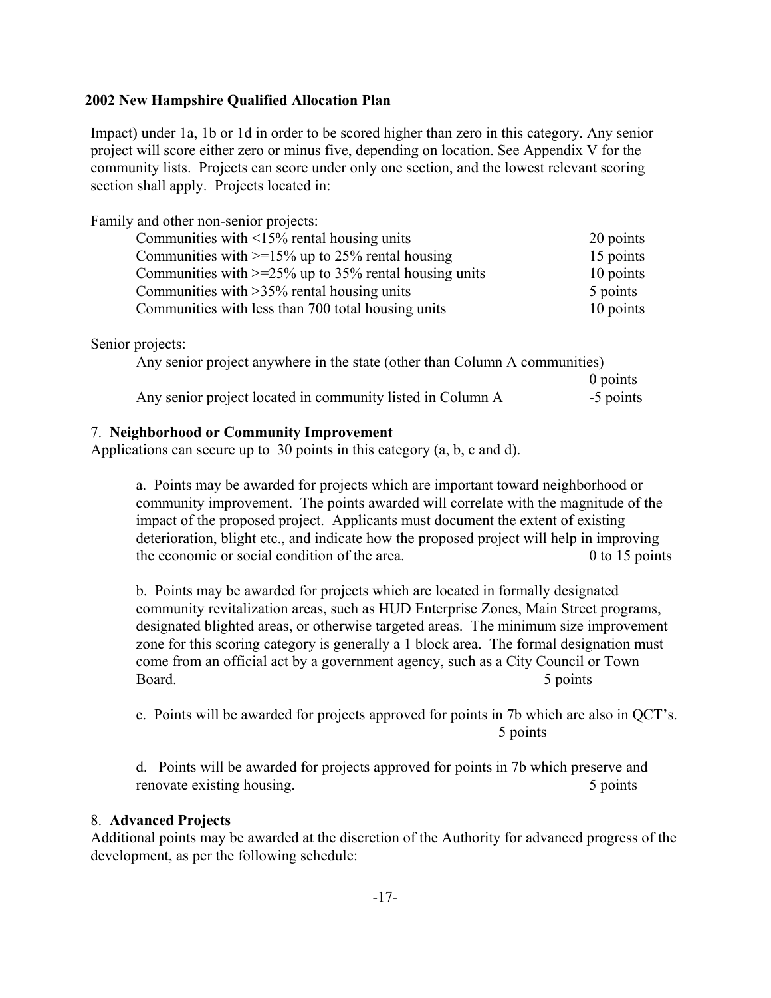Impact) under 1a, 1b or 1d in order to be scored higher than zero in this category. Any senior project will score either zero or minus five, depending on location. See Appendix V for the community lists. Projects can score under only one section, and the lowest relevant scoring section shall apply. Projects located in:

Family and other non-senior projects:

| Communities with $\leq 15\%$ rental housing units           | 20 points |
|-------------------------------------------------------------|-----------|
| Communities with $\geq$ 15% up to 25% rental housing        | 15 points |
| Communities with $\geq$ =25% up to 35% rental housing units | 10 points |
| Communities with $>35\%$ rental housing units               | 5 points  |
| Communities with less than 700 total housing units          | 10 points |

## Senior projects:

| Any senior project anywhere in the state (other than Column A communities) |            |
|----------------------------------------------------------------------------|------------|
|                                                                            | $0$ points |
| Any senior project located in community listed in Column A                 | -5 points  |

## 7. **Neighborhood or Community Improvement**

Applications can secure up to 30 points in this category (a, b, c and d).

a. Points may be awarded for projects which are important toward neighborhood or community improvement. The points awarded will correlate with the magnitude of the impact of the proposed project. Applicants must document the extent of existing deterioration, blight etc., and indicate how the proposed project will help in improving the economic or social condition of the area. 0 to 15 points

b. Points may be awarded for projects which are located in formally designated community revitalization areas, such as HUD Enterprise Zones, Main Street programs, designated blighted areas, or otherwise targeted areas. The minimum size improvement zone for this scoring category is generally a 1 block area. The formal designation must come from an official act by a government agency, such as a City Council or Town Board. 5 points

c. Points will be awarded for projects approved for points in 7b which are also in QCT's. 5 points

d. Points will be awarded for projects approved for points in 7b which preserve and renovate existing housing. 5 points

#### 8. **Advanced Projects**

Additional points may be awarded at the discretion of the Authority for advanced progress of the development, as per the following schedule: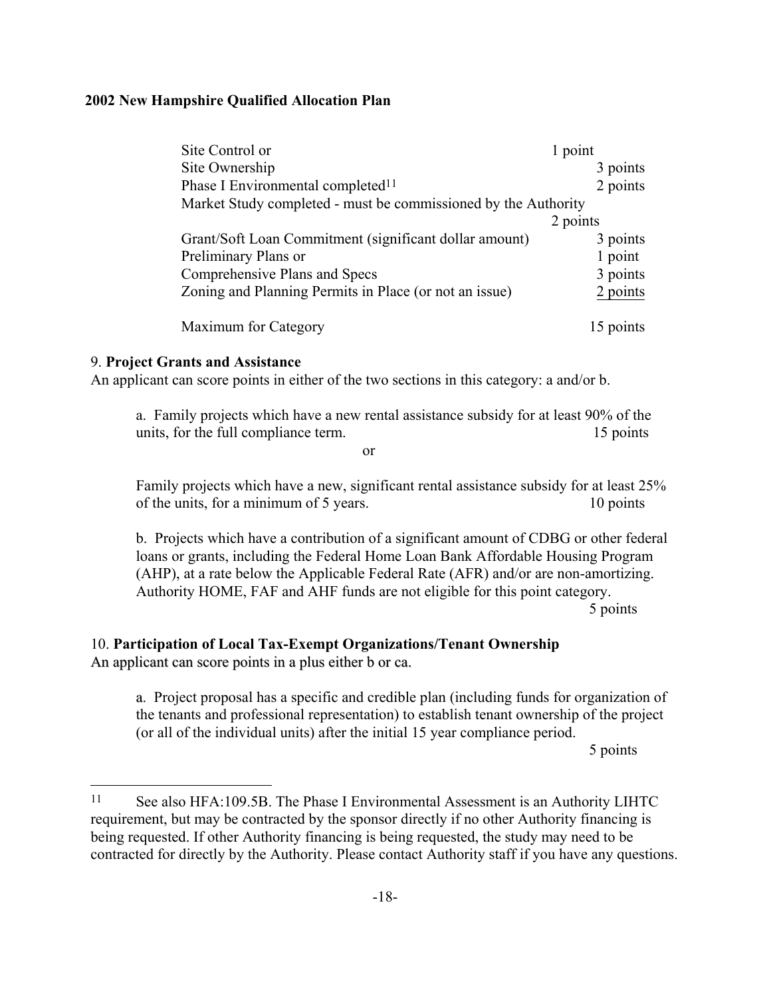| Site Control or                                                | 1 point   |
|----------------------------------------------------------------|-----------|
| Site Ownership                                                 | 3 points  |
| Phase I Environmental completed <sup>11</sup>                  | 2 points  |
| Market Study completed - must be commissioned by the Authority |           |
|                                                                | 2 points  |
| Grant/Soft Loan Commitment (significant dollar amount)         | 3 points  |
| Preliminary Plans or                                           | 1 point   |
| Comprehensive Plans and Specs                                  | 3 points  |
| Zoning and Planning Permits in Place (or not an issue)         | 2 points  |
| Maximum for Category                                           | 15 points |

## 9. **Project Grants and Assistance**

An applicant can score points in either of the two sections in this category: a and/or b.

a. Family projects which have a new rental assistance subsidy for at least 90% of the units, for the full compliance term. 15 points

or

Family projects which have a new, significant rental assistance subsidy for at least 25% of the units, for a minimum of 5 years. 10 points

b. Projects which have a contribution of a significant amount of CDBG or other federal loans or grants, including the Federal Home Loan Bank Affordable Housing Program (AHP), at a rate below the Applicable Federal Rate (AFR) and/or are non-amortizing. Authority HOME, FAF and AHF funds are not eligible for this point category. 5 points

# 10. **Participation of Local Tax-Exempt Organizations/Tenant Ownership**

An applicant can score points in a plus either b or ca.

i.

a. Project proposal has a specific and credible plan (including funds for organization of the tenants and professional representation) to establish tenant ownership of the project (or all of the individual units) after the initial 15 year compliance period.

5 points

<span id="page-23-0"></span><sup>11</sup> See also HFA:109.5B. The Phase I Environmental Assessment is an Authority LIHTC requirement, but may be contracted by the sponsor directly if no other Authority financing is being requested. If other Authority financing is being requested, the study may need to be contracted for directly by the Authority. Please contact Authority staff if you have any questions.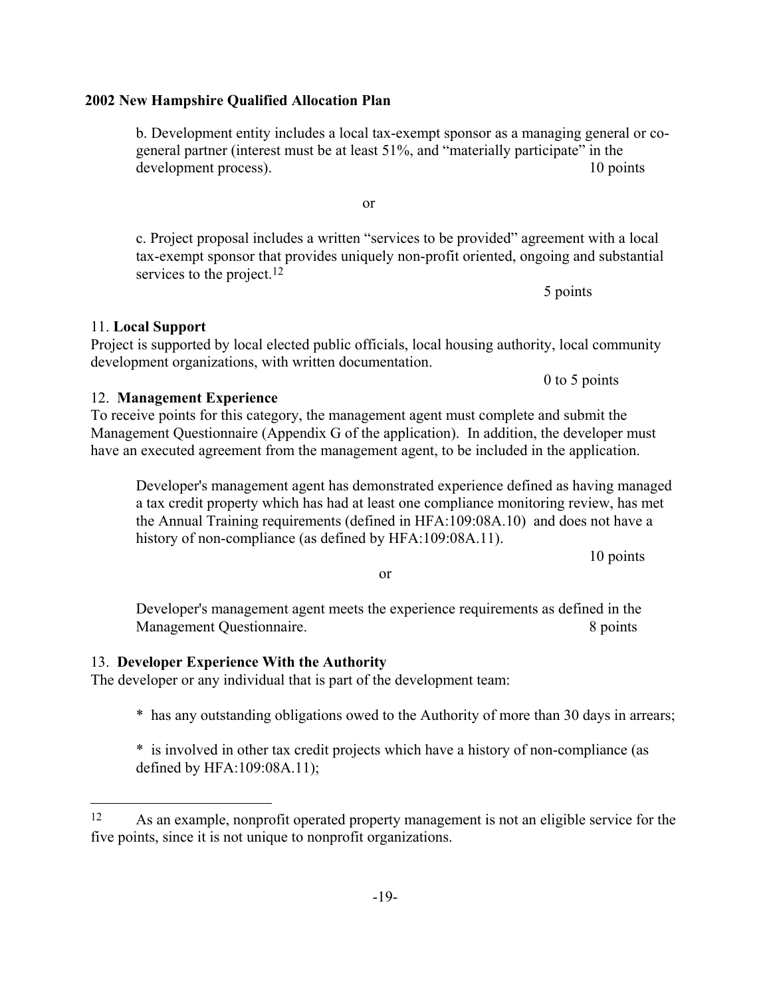11. **Local Support** 

b. Development entity includes a local tax-exempt sponsor as a managing general or cogeneral partner (interest must be at least 51%, and "materially participate" in the development process). 10 points

c. Project proposal includes a written "services to be provided" agreement with a local tax-exempt sponsor that provides uniquely non-profit oriented, ongoing and substantial services to the project.<sup>12</sup>

Project is supported by local elected public officials, local housing authority, local community development organizations, with written documentation.

12. **Management Experience** To receive points for this category, the management agent must complete and submit the Management Questionnaire (Appendix G of the application). In addition, the developer must have an executed agreement from the management agent, to be included in the application.

Developer's management agent has demonstrated experience defined as having managed a tax credit property which has had at least one compliance monitoring review, has met the Annual Training requirements (defined in HFA:109:08A.10) and does not have a history of non-compliance (as defined by HFA:109:08A.11).

10 points

Developer's management agent meets the experience requirements as defined in the Management Questionnaire. 8 points

#### 13. **Developer Experience With the Authority**

j.

The developer or any individual that is part of the development team:

\* has any outstanding obligations owed to the Authority of more than 30 days in arrears;

\* is involved in other tax credit projects which have a history of non-compliance (as defined by HFA:109:08A.11);

or

5 points

0 to 5 points

or

<span id="page-24-0"></span><sup>&</sup>lt;sup>12</sup> As an example, nonprofit operated property management is not an eligible service for the five points, since it is not unique to nonprofit organizations.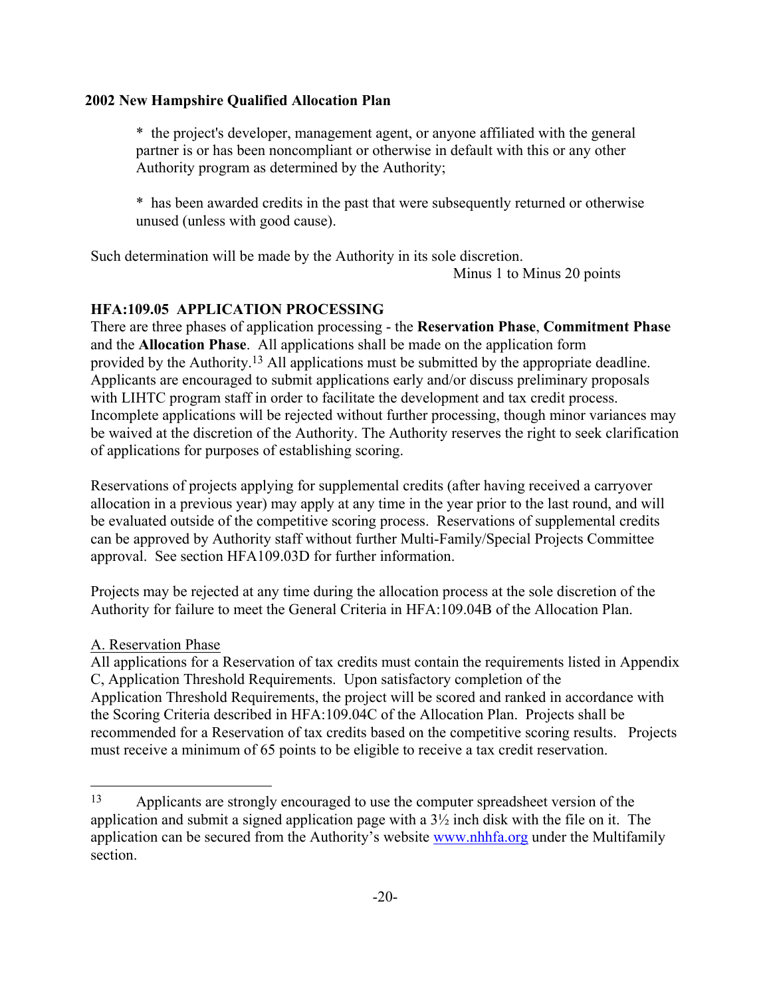\* the project's developer, management agent, or anyone affiliated with the general partner is or has been noncompliant or otherwise in default with this or any other Authority program as determined by the Authority;

\* has been awarded credits in the past that were subsequently returned or otherwise unused (unless with good cause).

Such determination will be made by the Authority in its sole discretion.

Minus 1 to Minus 20 points

# **HFA:109.05 APPLICATION PROCESSING**

There are three phases of application processing - the **Reservation Phase**, **Commitment Phase** and the **Allocation Phase**. All applications shall be made on the application form provided by the Authority[.13](#page-25-0) All applications must be submitted by the appropriate deadline. Applicants are encouraged to submit applications early and/or discuss preliminary proposals with LIHTC program staff in order to facilitate the development and tax credit process. Incomplete applications will be rejected without further processing, though minor variances may be waived at the discretion of the Authority. The Authority reserves the right to seek clarification of applications for purposes of establishing scoring.

Reservations of projects applying for supplemental credits (after having received a carryover allocation in a previous year) may apply at any time in the year prior to the last round, and will be evaluated outside of the competitive scoring process. Reservations of supplemental credits can be approved by Authority staff without further Multi-Family/Special Projects Committee approval. See section HFA109.03D for further information.

Projects may be rejected at any time during the allocation process at the sole discretion of the Authority for failure to meet the General Criteria in HFA:109.04B of the Allocation Plan.

## A. Reservation Phase

j.

All applications for a Reservation of tax credits must contain the requirements listed in Appendix C, Application Threshold Requirements. Upon satisfactory completion of the Application Threshold Requirements, the project will be scored and ranked in accordance with the Scoring Criteria described in HFA:109.04C of the Allocation Plan. Projects shall be recommended for a Reservation of tax credits based on the competitive scoring results. Projects must receive a minimum of 65 points to be eligible to receive a tax credit reservation.

<span id="page-25-0"></span><sup>13</sup> Applicants are strongly encouraged to use the computer spreadsheet version of the application and submit a signed application page with a  $3\frac{1}{2}$  inch disk with the file on it. The application can be secured from the Authority's website [www.nhhfa.org](http://www.nhhfa.org/) under the Multifamily section.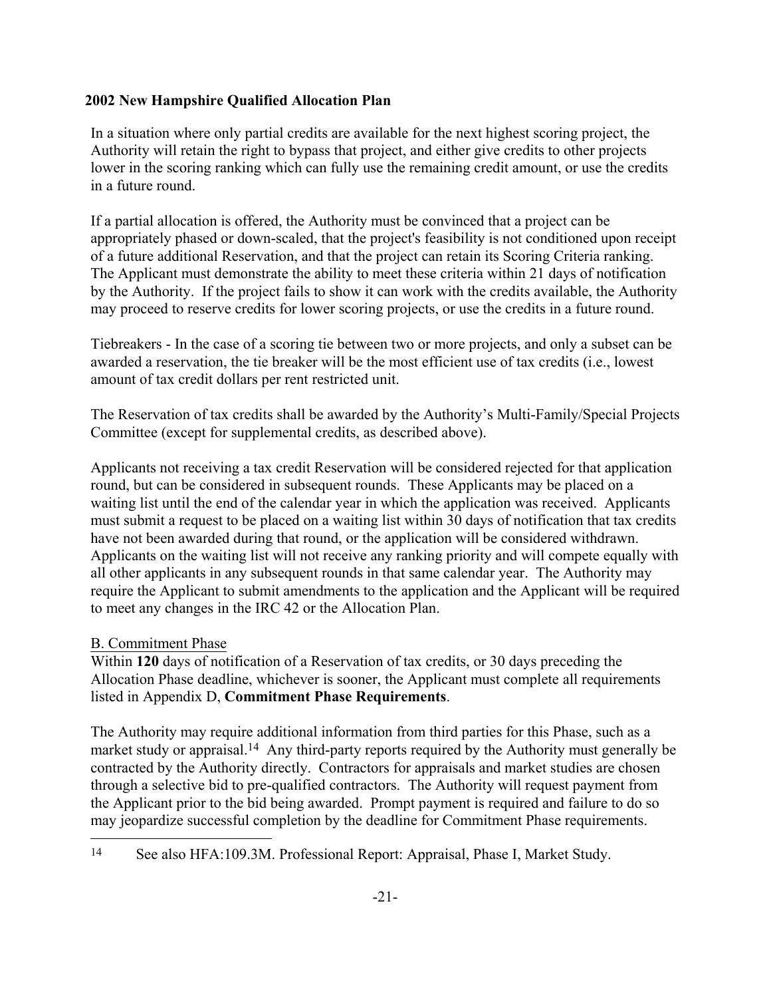In a situation where only partial credits are available for the next highest scoring project, the Authority will retain the right to bypass that project, and either give credits to other projects lower in the scoring ranking which can fully use the remaining credit amount, or use the credits in a future round.

If a partial allocation is offered, the Authority must be convinced that a project can be appropriately phased or down-scaled, that the project's feasibility is not conditioned upon receipt of a future additional Reservation, and that the project can retain its Scoring Criteria ranking. The Applicant must demonstrate the ability to meet these criteria within 21 days of notification by the Authority. If the project fails to show it can work with the credits available, the Authority may proceed to reserve credits for lower scoring projects, or use the credits in a future round.

Tiebreakers - In the case of a scoring tie between two or more projects, and only a subset can be awarded a reservation, the tie breaker will be the most efficient use of tax credits (i.e., lowest amount of tax credit dollars per rent restricted unit.

The Reservation of tax credits shall be awarded by the Authority's Multi-Family/Special Projects Committee (except for supplemental credits, as described above).

Applicants not receiving a tax credit Reservation will be considered rejected for that application round, but can be considered in subsequent rounds. These Applicants may be placed on a waiting list until the end of the calendar year in which the application was received. Applicants must submit a request to be placed on a waiting list within 30 days of notification that tax credits have not been awarded during that round, or the application will be considered withdrawn. Applicants on the waiting list will not receive any ranking priority and will compete equally with all other applicants in any subsequent rounds in that same calendar year. The Authority may require the Applicant to submit amendments to the application and the Applicant will be required to meet any changes in the IRC 42 or the Allocation Plan.

## B. Commitment Phase

L,

Within **120** days of notification of a Reservation of tax credits, or 30 days preceding the Allocation Phase deadline, whichever is sooner, the Applicant must complete all requirements listed in Appendix D, **Commitment Phase Requirements**.

The Authority may require additional information from third parties for this Phase, such as a market study or appraisal.<sup>14</sup> Any third-party reports required by the Authority must generally be contracted by the Authority directly. Contractors for appraisals and market studies are chosen through a selective bid to pre-qualified contractors. The Authority will request payment from the Applicant prior to the bid being awarded. Prompt payment is required and failure to do so may jeopardize successful completion by the deadline for Commitment Phase requirements.

<span id="page-26-0"></span><sup>14</sup> See also HFA:109.3M. Professional Report: Appraisal, Phase I, Market Study.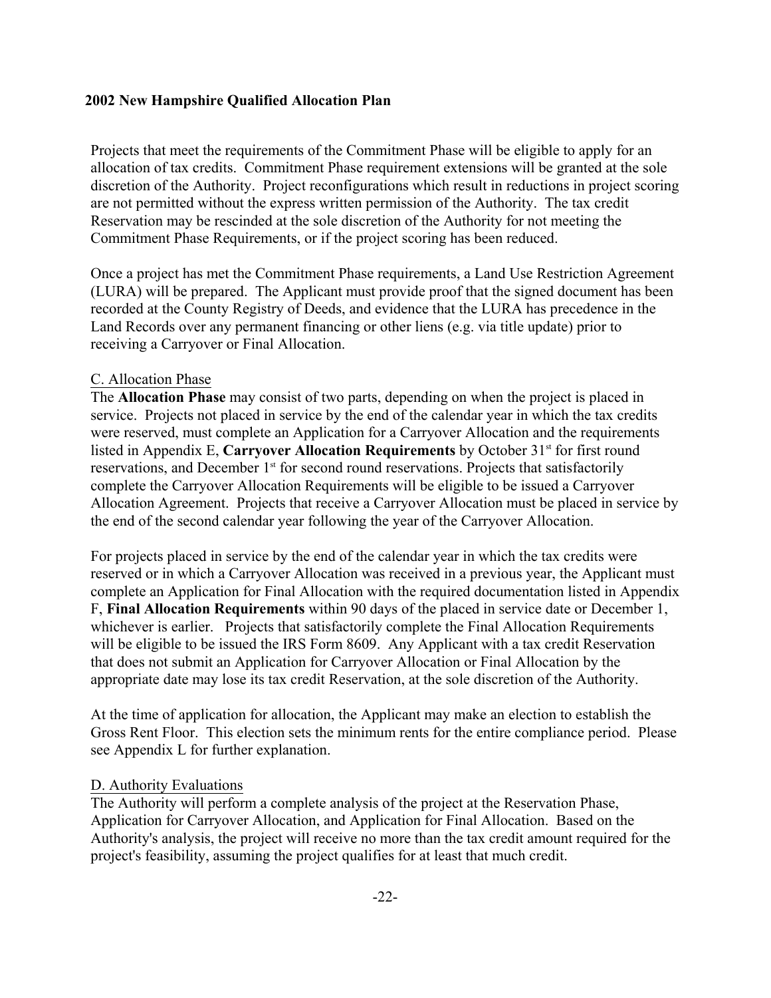Projects that meet the requirements of the Commitment Phase will be eligible to apply for an allocation of tax credits. Commitment Phase requirement extensions will be granted at the sole discretion of the Authority. Project reconfigurations which result in reductions in project scoring are not permitted without the express written permission of the Authority. The tax credit Reservation may be rescinded at the sole discretion of the Authority for not meeting the Commitment Phase Requirements, or if the project scoring has been reduced.

Once a project has met the Commitment Phase requirements, a Land Use Restriction Agreement (LURA) will be prepared. The Applicant must provide proof that the signed document has been recorded at the County Registry of Deeds, and evidence that the LURA has precedence in the Land Records over any permanent financing or other liens (e.g. via title update) prior to receiving a Carryover or Final Allocation.

#### C. Allocation Phase

The **Allocation Phase** may consist of two parts, depending on when the project is placed in service. Projects not placed in service by the end of the calendar year in which the tax credits were reserved, must complete an Application for a Carryover Allocation and the requirements listed in Appendix E, Carryover Allocation Requirements by October 31<sup>st</sup> for first round reservations, and December 1<sup>st</sup> for second round reservations. Projects that satisfactorily complete the Carryover Allocation Requirements will be eligible to be issued a Carryover Allocation Agreement. Projects that receive a Carryover Allocation must be placed in service by the end of the second calendar year following the year of the Carryover Allocation.

For projects placed in service by the end of the calendar year in which the tax credits were reserved or in which a Carryover Allocation was received in a previous year, the Applicant must complete an Application for Final Allocation with the required documentation listed in Appendix F, **Final Allocation Requirements** within 90 days of the placed in service date or December 1, whichever is earlier. Projects that satisfactorily complete the Final Allocation Requirements will be eligible to be issued the IRS Form 8609. Any Applicant with a tax credit Reservation that does not submit an Application for Carryover Allocation or Final Allocation by the appropriate date may lose its tax credit Reservation, at the sole discretion of the Authority.

At the time of application for allocation, the Applicant may make an election to establish the Gross Rent Floor. This election sets the minimum rents for the entire compliance period. Please see Appendix L for further explanation.

#### D. Authority Evaluations

The Authority will perform a complete analysis of the project at the Reservation Phase, Application for Carryover Allocation, and Application for Final Allocation. Based on the Authority's analysis, the project will receive no more than the tax credit amount required for the project's feasibility, assuming the project qualifies for at least that much credit.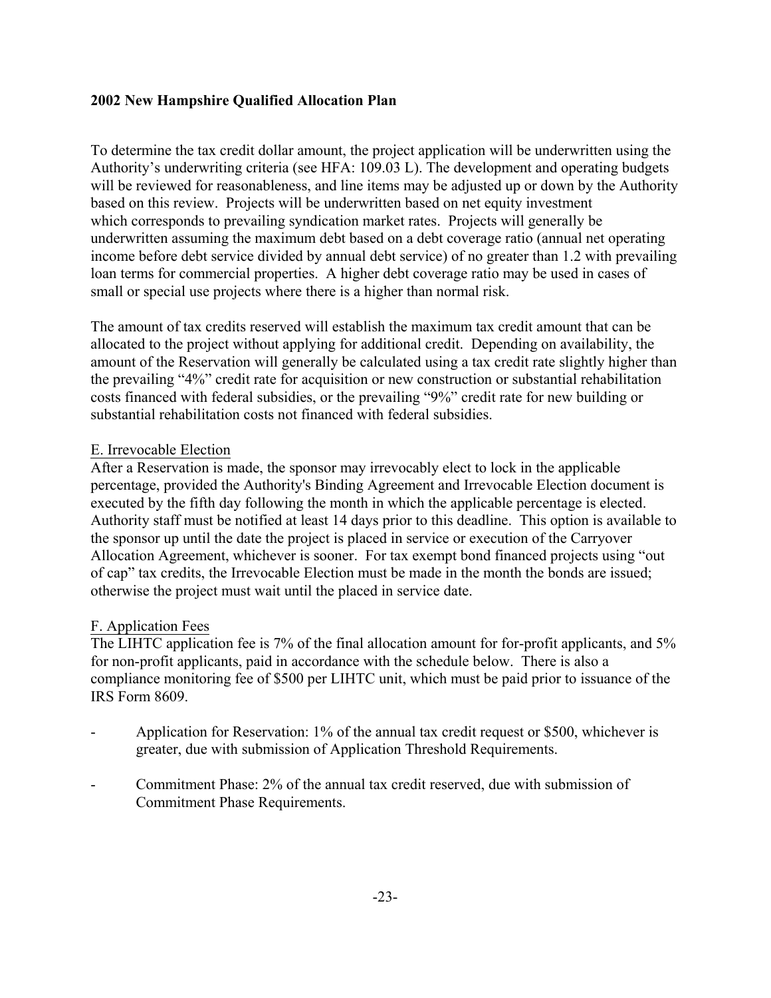To determine the tax credit dollar amount, the project application will be underwritten using the Authority's underwriting criteria (see HFA: 109.03 L). The development and operating budgets will be reviewed for reasonableness, and line items may be adjusted up or down by the Authority based on this review. Projects will be underwritten based on net equity investment which corresponds to prevailing syndication market rates. Projects will generally be underwritten assuming the maximum debt based on a debt coverage ratio (annual net operating income before debt service divided by annual debt service) of no greater than 1.2 with prevailing loan terms for commercial properties. A higher debt coverage ratio may be used in cases of small or special use projects where there is a higher than normal risk.

The amount of tax credits reserved will establish the maximum tax credit amount that can be allocated to the project without applying for additional credit. Depending on availability, the amount of the Reservation will generally be calculated using a tax credit rate slightly higher than the prevailing "4%" credit rate for acquisition or new construction or substantial rehabilitation costs financed with federal subsidies, or the prevailing "9%" credit rate for new building or substantial rehabilitation costs not financed with federal subsidies.

## E. Irrevocable Election

After a Reservation is made, the sponsor may irrevocably elect to lock in the applicable percentage, provided the Authority's Binding Agreement and Irrevocable Election document is executed by the fifth day following the month in which the applicable percentage is elected. Authority staff must be notified at least 14 days prior to this deadline. This option is available to the sponsor up until the date the project is placed in service or execution of the Carryover Allocation Agreement, whichever is sooner. For tax exempt bond financed projects using "out of cap" tax credits, the Irrevocable Election must be made in the month the bonds are issued; otherwise the project must wait until the placed in service date.

## F. Application Fees

The LIHTC application fee is 7% of the final allocation amount for for-profit applicants, and 5% for non-profit applicants, paid in accordance with the schedule below. There is also a compliance monitoring fee of \$500 per LIHTC unit, which must be paid prior to issuance of the IRS Form 8609.

- Application for Reservation: 1% of the annual tax credit request or \$500, whichever is greater, due with submission of Application Threshold Requirements.
- Commitment Phase: 2% of the annual tax credit reserved, due with submission of Commitment Phase Requirements.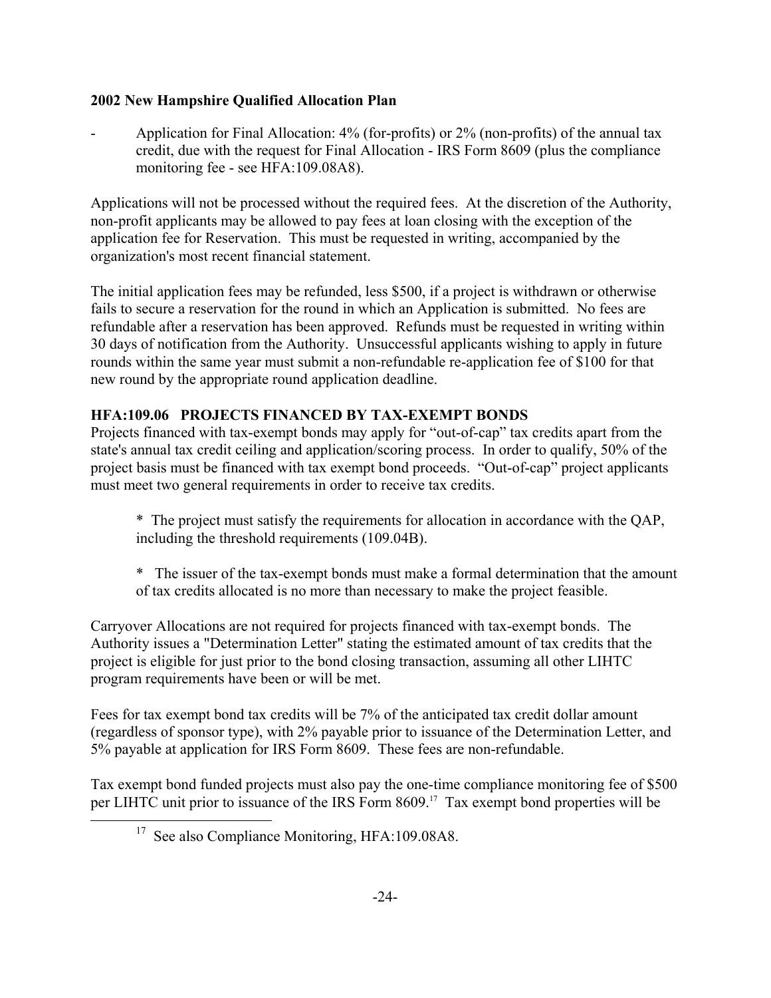- Application for Final Allocation: 4% (for-profits) or 2% (non-profits) of the annual tax credit, due with the request for Final Allocation - IRS Form 8609 (plus the compliance monitoring fee - see HFA:109.08A8).

Applications will not be processed without the required fees. At the discretion of the Authority, non-profit applicants may be allowed to pay fees at loan closing with the exception of the application fee for Reservation. This must be requested in writing, accompanied by the organization's most recent financial statement.

The initial application fees may be refunded, less \$500, if a project is withdrawn or otherwise fails to secure a reservation for the round in which an Application is submitted. No fees are refundable after a reservation has been approved. Refunds must be requested in writing within 30 days of notification from the Authority. Unsuccessful applicants wishing to apply in future rounds within the same year must submit a non-refundable re-application fee of \$100 for that new round by the appropriate round application deadline.

# **HFA:109.06 PROJECTS FINANCED BY TAX-EXEMPT BONDS**

Projects financed with tax-exempt bonds may apply for "out-of-cap" tax credits apart from the state's annual tax credit ceiling and application/scoring process. In order to qualify, 50% of the project basis must be financed with tax exempt bond proceeds. "Out-of-cap" project applicants must meet two general requirements in order to receive tax credits.

- \* The project must satisfy the requirements for allocation in accordance with the QAP, including the threshold requirements (109.04B).
- \* The issuer of the tax-exempt bonds must make a formal determination that the amount of tax credits allocated is no more than necessary to make the project feasible.

Carryover Allocations are not required for projects financed with tax-exempt bonds. The Authority issues a "Determination Letter" stating the estimated amount of tax credits that the project is eligible for just prior to the bond closing transaction, assuming all other LIHTC program requirements have been or will be met.

Fees for tax exempt bond tax credits will be 7% of the anticipated tax credit dollar amount (regardless of sponsor type), with 2% payable prior to issuance of the Determination Letter, and 5% payable at application for IRS Form 8609. These fees are non-refundable.

Tax exempt bond funded projects must also pay the one-time compliance monitoring fee of \$500 per LIHTC unit prior to issuance of the IRS Form 8609.1[7](#page-29-0) Tax exempt bond properties will be

j.

<span id="page-29-0"></span><sup>&</sup>lt;sup>17</sup> See also Compliance Monitoring, HFA:109.08A8.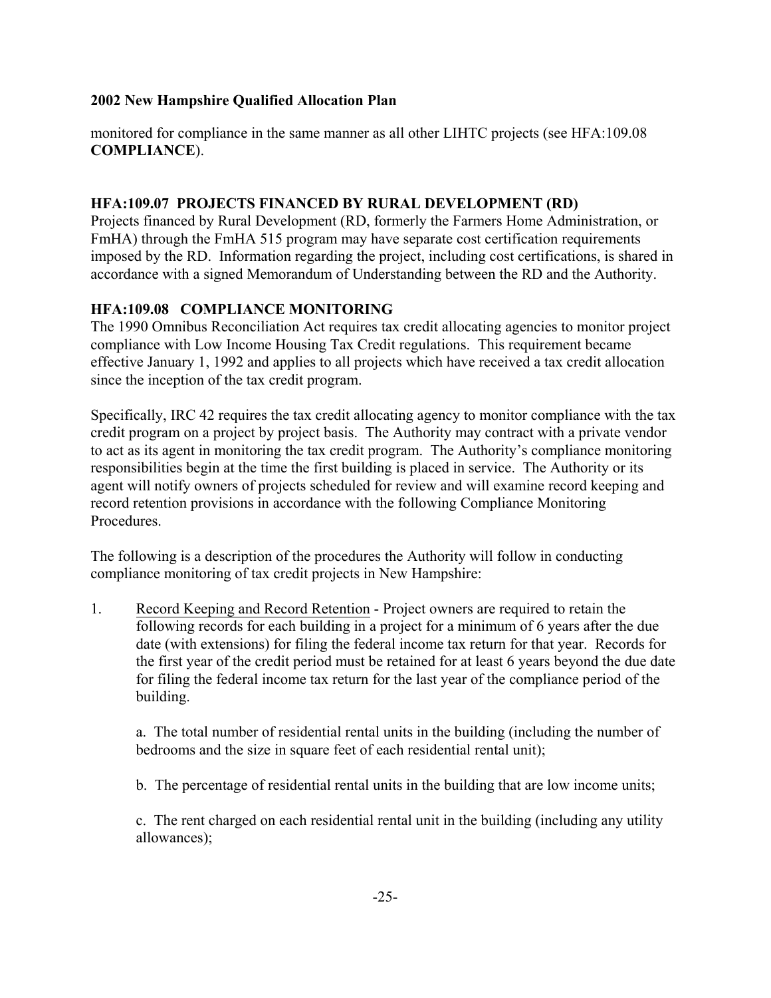monitored for compliance in the same manner as all other LIHTC projects (see HFA:109.08 **COMPLIANCE**).

# **HFA:109.07 PROJECTS FINANCED BY RURAL DEVELOPMENT (RD)**

Projects financed by Rural Development (RD, formerly the Farmers Home Administration, or FmHA) through the FmHA 515 program may have separate cost certification requirements imposed by the RD. Information regarding the project, including cost certifications, is shared in accordance with a signed Memorandum of Understanding between the RD and the Authority.

# **HFA:109.08 COMPLIANCE MONITORING**

The 1990 Omnibus Reconciliation Act requires tax credit allocating agencies to monitor project compliance with Low Income Housing Tax Credit regulations. This requirement became effective January 1, 1992 and applies to all projects which have received a tax credit allocation since the inception of the tax credit program.

Specifically, IRC 42 requires the tax credit allocating agency to monitor compliance with the tax credit program on a project by project basis. The Authority may contract with a private vendor to act as its agent in monitoring the tax credit program. The Authority's compliance monitoring responsibilities begin at the time the first building is placed in service. The Authority or its agent will notify owners of projects scheduled for review and will examine record keeping and record retention provisions in accordance with the following Compliance Monitoring **Procedures** 

The following is a description of the procedures the Authority will follow in conducting compliance monitoring of tax credit projects in New Hampshire:

1. Record Keeping and Record Retention - Project owners are required to retain the following records for each building in a project for a minimum of 6 years after the due date (with extensions) for filing the federal income tax return for that year. Records for the first year of the credit period must be retained for at least 6 years beyond the due date for filing the federal income tax return for the last year of the compliance period of the building.

a. The total number of residential rental units in the building (including the number of bedrooms and the size in square feet of each residential rental unit);

b. The percentage of residential rental units in the building that are low income units;

c. The rent charged on each residential rental unit in the building (including any utility allowances);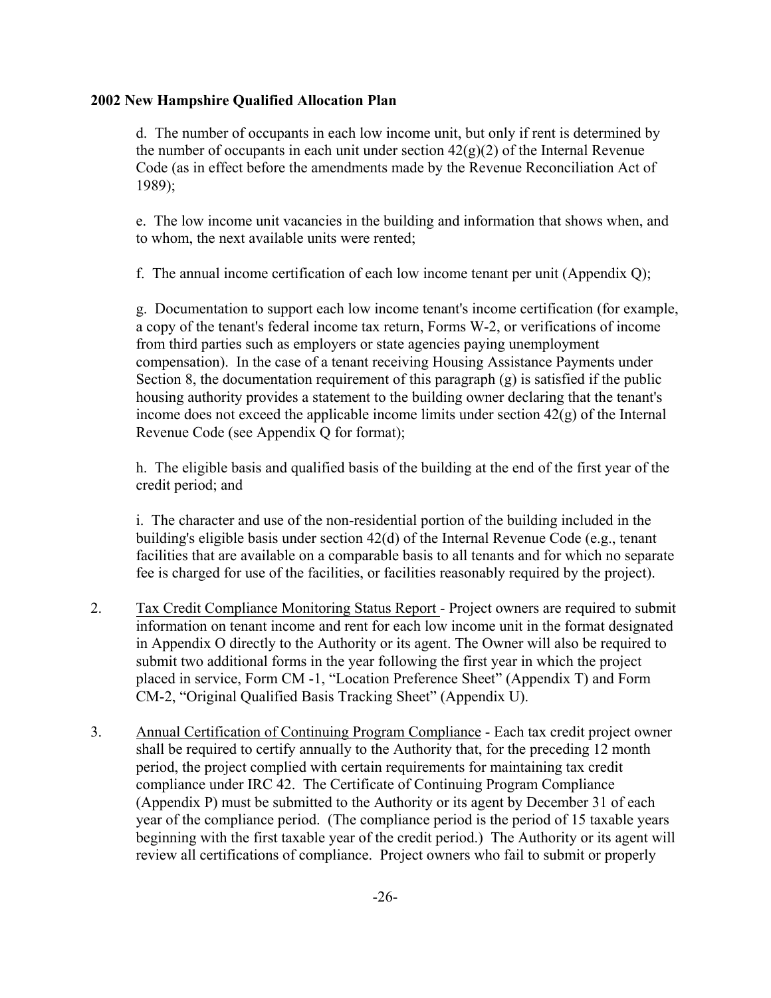d. The number of occupants in each low income unit, but only if rent is determined by the number of occupants in each unit under section  $42(g)(2)$  of the Internal Revenue Code (as in effect before the amendments made by the Revenue Reconciliation Act of 1989);

e. The low income unit vacancies in the building and information that shows when, and to whom, the next available units were rented;

f. The annual income certification of each low income tenant per unit (Appendix Q);

g. Documentation to support each low income tenant's income certification (for example, a copy of the tenant's federal income tax return, Forms W-2, or verifications of income from third parties such as employers or state agencies paying unemployment compensation). In the case of a tenant receiving Housing Assistance Payments under Section 8, the documentation requirement of this paragraph (g) is satisfied if the public housing authority provides a statement to the building owner declaring that the tenant's income does not exceed the applicable income limits under section  $42(g)$  of the Internal Revenue Code (see Appendix Q for format);

h. The eligible basis and qualified basis of the building at the end of the first year of the credit period; and

i. The character and use of the non-residential portion of the building included in the building's eligible basis under section 42(d) of the Internal Revenue Code (e.g., tenant facilities that are available on a comparable basis to all tenants and for which no separate fee is charged for use of the facilities, or facilities reasonably required by the project).

- 2. Tax Credit Compliance Monitoring Status Report Project owners are required to submit information on tenant income and rent for each low income unit in the format designated in Appendix O directly to the Authority or its agent. The Owner will also be required to submit two additional forms in the year following the first year in which the project placed in service, Form CM -1, "Location Preference Sheet" (Appendix T) and Form CM-2, "Original Qualified Basis Tracking Sheet" (Appendix U).
- 3. Annual Certification of Continuing Program Compliance Each tax credit project owner shall be required to certify annually to the Authority that, for the preceding 12 month period, the project complied with certain requirements for maintaining tax credit compliance under IRC 42. The Certificate of Continuing Program Compliance (Appendix P) must be submitted to the Authority or its agent by December 31 of each year of the compliance period. (The compliance period is the period of 15 taxable years beginning with the first taxable year of the credit period.) The Authority or its agent will review all certifications of compliance. Project owners who fail to submit or properly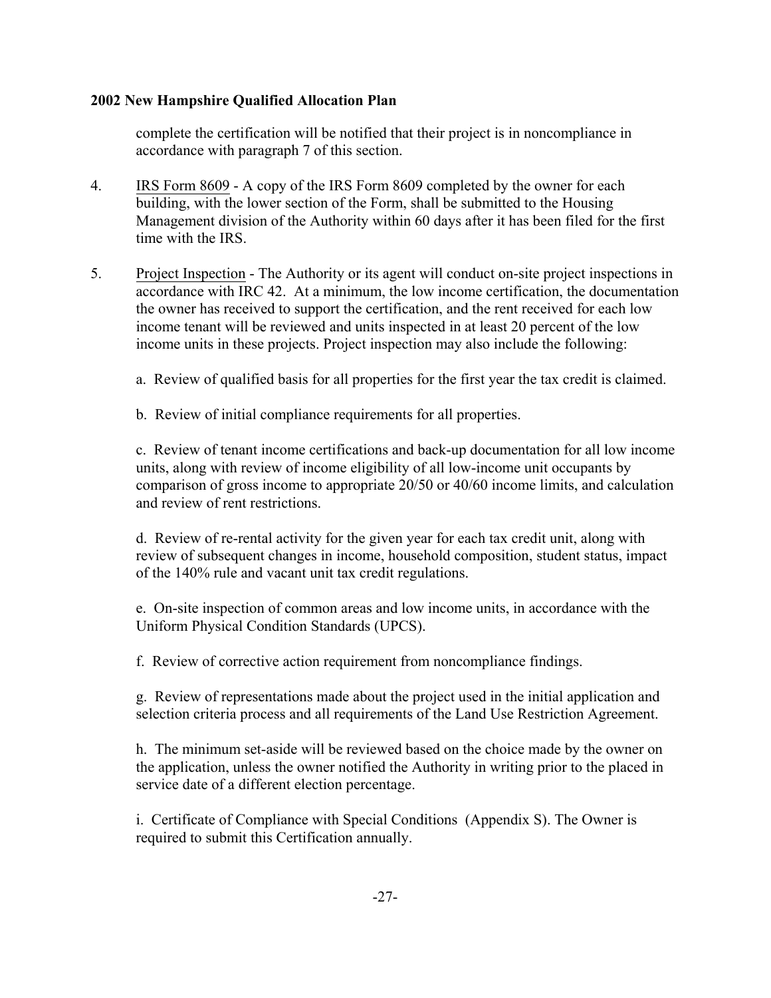complete the certification will be notified that their project is in noncompliance in accordance with paragraph 7 of this section.

- 4. IRS Form 8609 A copy of the IRS Form 8609 completed by the owner for each building, with the lower section of the Form, shall be submitted to the Housing Management division of the Authority within 60 days after it has been filed for the first time with the IRS.
- 5. Project Inspection The Authority or its agent will conduct on-site project inspections in accordance with IRC 42. At a minimum, the low income certification, the documentation the owner has received to support the certification, and the rent received for each low income tenant will be reviewed and units inspected in at least 20 percent of the low income units in these projects. Project inspection may also include the following:
	- a. Review of qualified basis for all properties for the first year the tax credit is claimed.
	- b. Review of initial compliance requirements for all properties.

c. Review of tenant income certifications and back-up documentation for all low income units, along with review of income eligibility of all low-income unit occupants by comparison of gross income to appropriate 20/50 or 40/60 income limits, and calculation and review of rent restrictions.

d. Review of re-rental activity for the given year for each tax credit unit, along with review of subsequent changes in income, household composition, student status, impact of the 140% rule and vacant unit tax credit regulations.

e. On-site inspection of common areas and low income units, in accordance with the Uniform Physical Condition Standards (UPCS).

f. Review of corrective action requirement from noncompliance findings.

 g. Review of representations made about the project used in the initial application and selection criteria process and all requirements of the Land Use Restriction Agreement.

 h. The minimum set-aside will be reviewed based on the choice made by the owner on the application, unless the owner notified the Authority in writing prior to the placed in service date of a different election percentage.

 i. Certificate of Compliance with Special Conditions (Appendix S). The Owner is required to submit this Certification annually.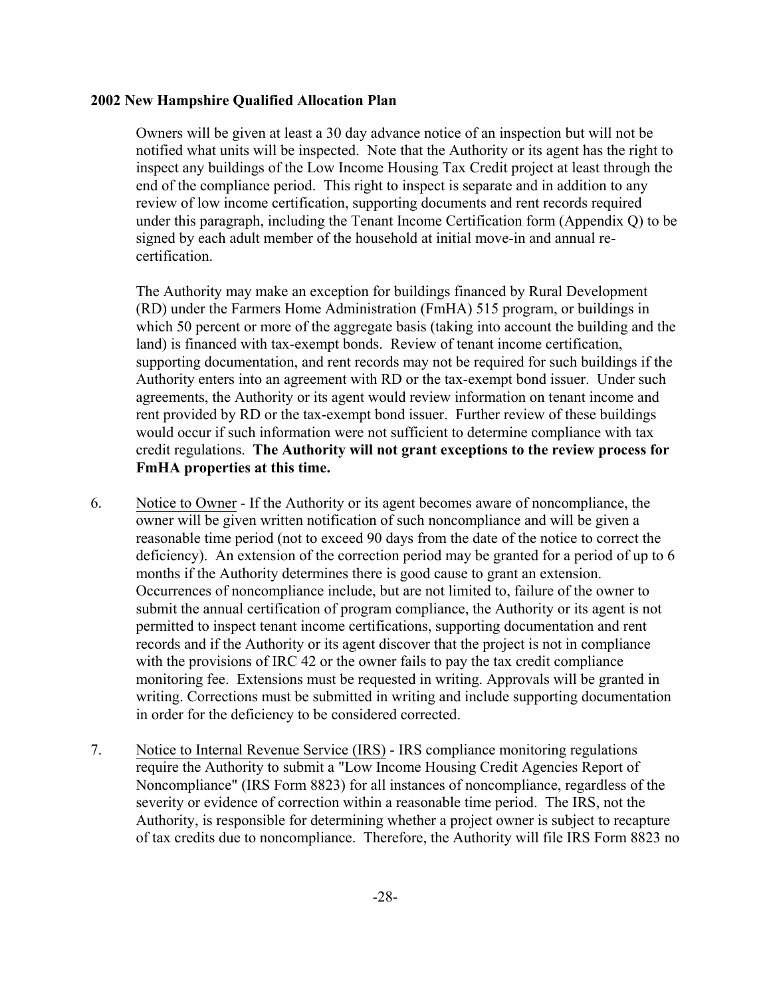Owners will be given at least a 30 day advance notice of an inspection but will not be notified what units will be inspected. Note that the Authority or its agent has the right to inspect any buildings of the Low Income Housing Tax Credit project at least through the end of the compliance period. This right to inspect is separate and in addition to any review of low income certification, supporting documents and rent records required under this paragraph, including the Tenant Income Certification form (Appendix Q) to be signed by each adult member of the household at initial move-in and annual recertification.

The Authority may make an exception for buildings financed by Rural Development (RD) under the Farmers Home Administration (FmHA) 515 program, or buildings in which 50 percent or more of the aggregate basis (taking into account the building and the land) is financed with tax-exempt bonds. Review of tenant income certification, supporting documentation, and rent records may not be required for such buildings if the Authority enters into an agreement with RD or the tax-exempt bond issuer. Under such agreements, the Authority or its agent would review information on tenant income and rent provided by RD or the tax-exempt bond issuer. Further review of these buildings would occur if such information were not sufficient to determine compliance with tax credit regulations. **The Authority will not grant exceptions to the review process for FmHA properties at this time.**

- 6. Notice to Owner If the Authority or its agent becomes aware of noncompliance, the owner will be given written notification of such noncompliance and will be given a reasonable time period (not to exceed 90 days from the date of the notice to correct the deficiency). An extension of the correction period may be granted for a period of up to 6 months if the Authority determines there is good cause to grant an extension. Occurrences of noncompliance include, but are not limited to, failure of the owner to submit the annual certification of program compliance, the Authority or its agent is not permitted to inspect tenant income certifications, supporting documentation and rent records and if the Authority or its agent discover that the project is not in compliance with the provisions of IRC 42 or the owner fails to pay the tax credit compliance monitoring fee. Extensions must be requested in writing. Approvals will be granted in writing. Corrections must be submitted in writing and include supporting documentation in order for the deficiency to be considered corrected.
- 7. Notice to Internal Revenue Service (IRS) IRS compliance monitoring regulations require the Authority to submit a "Low Income Housing Credit Agencies Report of Noncompliance" (IRS Form 8823) for all instances of noncompliance, regardless of the severity or evidence of correction within a reasonable time period. The IRS, not the Authority, is responsible for determining whether a project owner is subject to recapture of tax credits due to noncompliance. Therefore, the Authority will file IRS Form 8823 no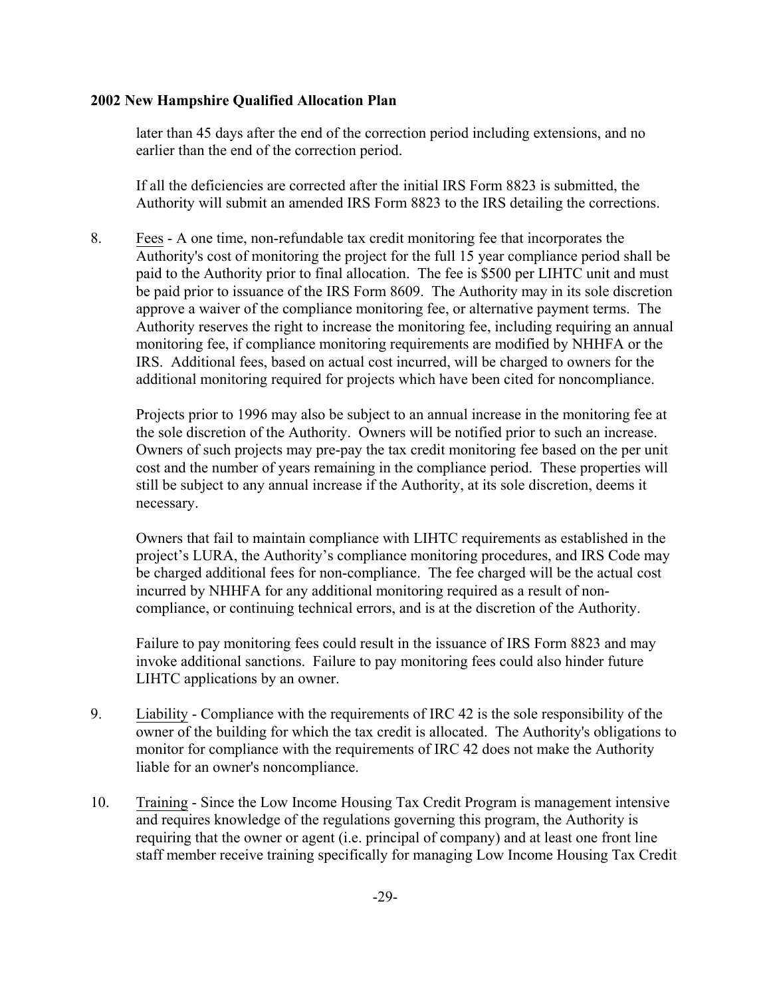later than 45 days after the end of the correction period including extensions, and no earlier than the end of the correction period.

If all the deficiencies are corrected after the initial IRS Form 8823 is submitted, the Authority will submit an amended IRS Form 8823 to the IRS detailing the corrections.

8. Fees - A one time, non-refundable tax credit monitoring fee that incorporates the Authority's cost of monitoring the project for the full 15 year compliance period shall be paid to the Authority prior to final allocation. The fee is \$500 per LIHTC unit and must be paid prior to issuance of the IRS Form 8609. The Authority may in its sole discretion approve a waiver of the compliance monitoring fee, or alternative payment terms. The Authority reserves the right to increase the monitoring fee, including requiring an annual monitoring fee, if compliance monitoring requirements are modified by NHHFA or the IRS. Additional fees, based on actual cost incurred, will be charged to owners for the additional monitoring required for projects which have been cited for noncompliance.

Projects prior to 1996 may also be subject to an annual increase in the monitoring fee at the sole discretion of the Authority. Owners will be notified prior to such an increase. Owners of such projects may pre-pay the tax credit monitoring fee based on the per unit cost and the number of years remaining in the compliance period. These properties will still be subject to any annual increase if the Authority, at its sole discretion, deems it necessary.

Owners that fail to maintain compliance with LIHTC requirements as established in the project's LURA, the Authority's compliance monitoring procedures, and IRS Code may be charged additional fees for non-compliance. The fee charged will be the actual cost incurred by NHHFA for any additional monitoring required as a result of noncompliance, or continuing technical errors, and is at the discretion of the Authority.

Failure to pay monitoring fees could result in the issuance of IRS Form 8823 and may invoke additional sanctions. Failure to pay monitoring fees could also hinder future LIHTC applications by an owner.

- 9. Liability Compliance with the requirements of IRC 42 is the sole responsibility of the owner of the building for which the tax credit is allocated. The Authority's obligations to monitor for compliance with the requirements of IRC 42 does not make the Authority liable for an owner's noncompliance.
- 10. Training Since the Low Income Housing Tax Credit Program is management intensive and requires knowledge of the regulations governing this program, the Authority is requiring that the owner or agent (i.e. principal of company) and at least one front line staff member receive training specifically for managing Low Income Housing Tax Credit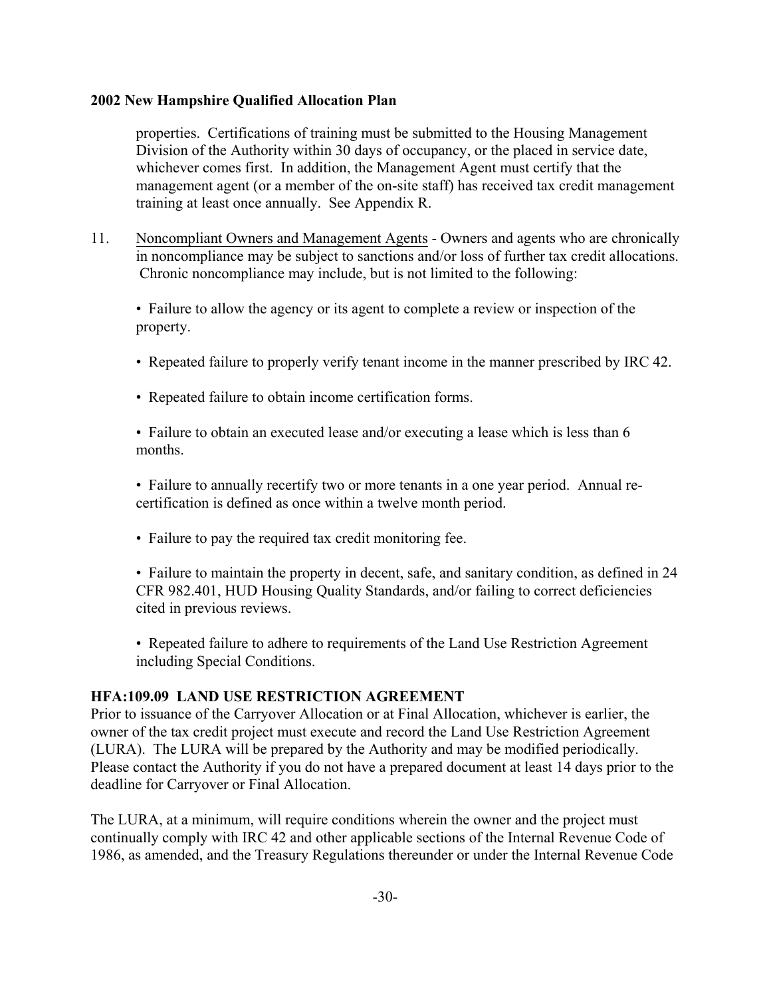properties. Certifications of training must be submitted to the Housing Management Division of the Authority within 30 days of occupancy, or the placed in service date, whichever comes first. In addition, the Management Agent must certify that the management agent (or a member of the on-site staff) has received tax credit management training at least once annually. See Appendix R.

11. Noncompliant Owners and Management Agents - Owners and agents who are chronically in noncompliance may be subject to sanctions and/or loss of further tax credit allocations. Chronic noncompliance may include, but is not limited to the following:

• Failure to allow the agency or its agent to complete a review or inspection of the property.

- Repeated failure to properly verify tenant income in the manner prescribed by IRC 42.
- Repeated failure to obtain income certification forms.

• Failure to obtain an executed lease and/or executing a lease which is less than 6 months.

• Failure to annually recertify two or more tenants in a one year period. Annual recertification is defined as once within a twelve month period.

• Failure to pay the required tax credit monitoring fee.

• Failure to maintain the property in decent, safe, and sanitary condition, as defined in 24 CFR 982.401, HUD Housing Quality Standards, and/or failing to correct deficiencies cited in previous reviews.

• Repeated failure to adhere to requirements of the Land Use Restriction Agreement including Special Conditions.

## **HFA:109.09 LAND USE RESTRICTION AGREEMENT**

Prior to issuance of the Carryover Allocation or at Final Allocation, whichever is earlier, the owner of the tax credit project must execute and record the Land Use Restriction Agreement (LURA). The LURA will be prepared by the Authority and may be modified periodically. Please contact the Authority if you do not have a prepared document at least 14 days prior to the deadline for Carryover or Final Allocation.

The LURA, at a minimum, will require conditions wherein the owner and the project must continually comply with IRC 42 and other applicable sections of the Internal Revenue Code of 1986, as amended, and the Treasury Regulations thereunder or under the Internal Revenue Code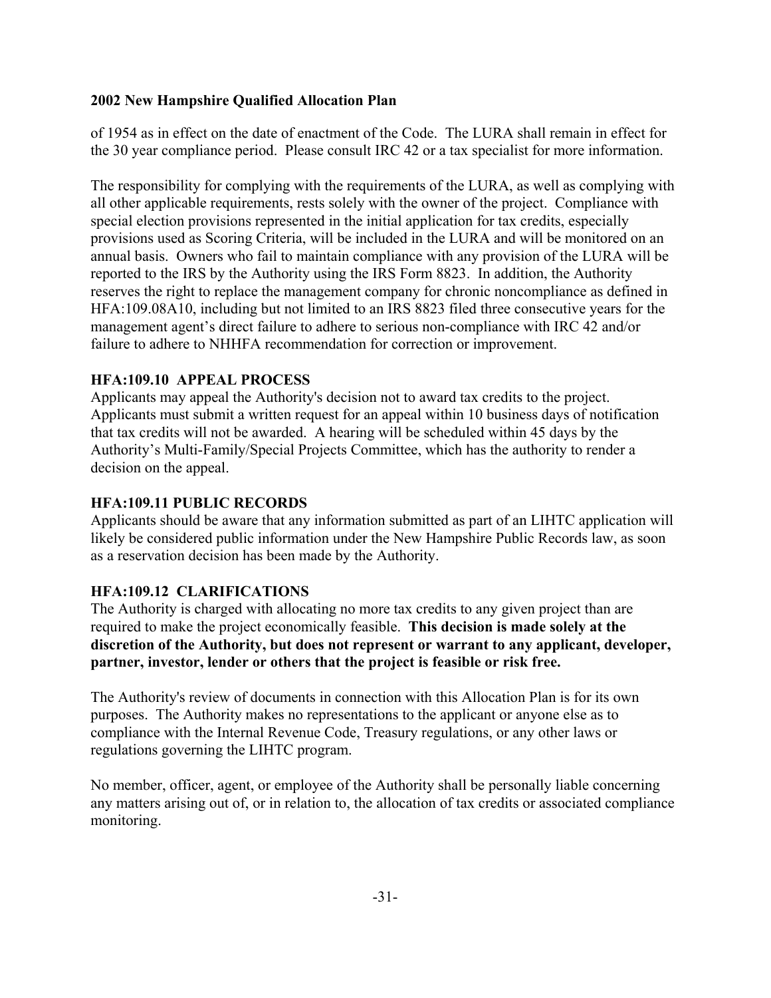of 1954 as in effect on the date of enactment of the Code. The LURA shall remain in effect for the 30 year compliance period. Please consult IRC 42 or a tax specialist for more information.

The responsibility for complying with the requirements of the LURA, as well as complying with all other applicable requirements, rests solely with the owner of the project. Compliance with special election provisions represented in the initial application for tax credits, especially provisions used as Scoring Criteria, will be included in the LURA and will be monitored on an annual basis. Owners who fail to maintain compliance with any provision of the LURA will be reported to the IRS by the Authority using the IRS Form 8823. In addition, the Authority reserves the right to replace the management company for chronic noncompliance as defined in HFA:109.08A10, including but not limited to an IRS 8823 filed three consecutive years for the management agent's direct failure to adhere to serious non-compliance with IRC 42 and/or failure to adhere to NHHFA recommendation for correction or improvement.

# **HFA:109.10 APPEAL PROCESS**

Applicants may appeal the Authority's decision not to award tax credits to the project. Applicants must submit a written request for an appeal within 10 business days of notification that tax credits will not be awarded. A hearing will be scheduled within 45 days by the Authority's Multi-Family/Special Projects Committee, which has the authority to render a decision on the appeal.

## **HFA:109.11 PUBLIC RECORDS**

Applicants should be aware that any information submitted as part of an LIHTC application will likely be considered public information under the New Hampshire Public Records law, as soon as a reservation decision has been made by the Authority.

# **HFA:109.12 CLARIFICATIONS**

The Authority is charged with allocating no more tax credits to any given project than are required to make the project economically feasible. **This decision is made solely at the discretion of the Authority, but does not represent or warrant to any applicant, developer, partner, investor, lender or others that the project is feasible or risk free.**

The Authority's review of documents in connection with this Allocation Plan is for its own purposes. The Authority makes no representations to the applicant or anyone else as to compliance with the Internal Revenue Code, Treasury regulations, or any other laws or regulations governing the LIHTC program.

No member, officer, agent, or employee of the Authority shall be personally liable concerning any matters arising out of, or in relation to, the allocation of tax credits or associated compliance monitoring.